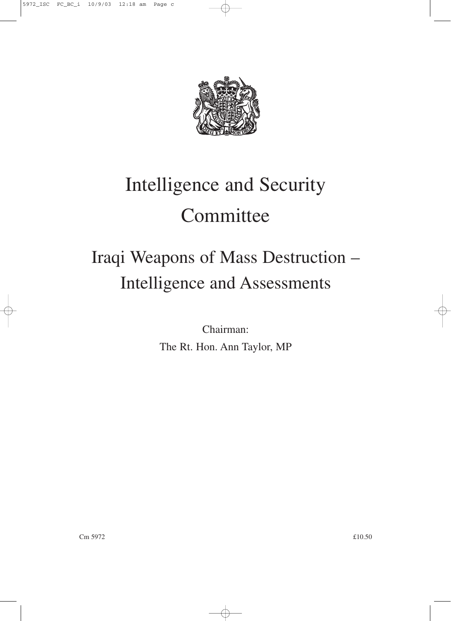

# Intelligence and Security **Committee**

## Iraqi Weapons of Mass Destruction – Intelligence and Assessments

Chairman: The Rt. Hon. Ann Taylor, MP

 $\epsilon$ m 5972  $\epsilon$ 10.50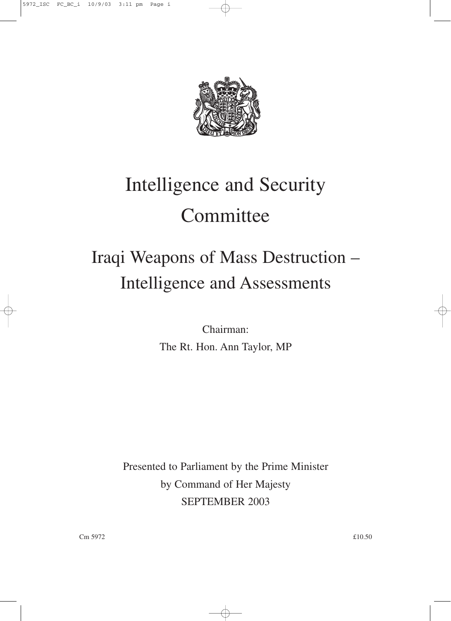

# Intelligence and Security **Committee**

# Iraqi Weapons of Mass Destruction – Intelligence and Assessments

Chairman: The Rt. Hon. Ann Taylor, MP

Presented to Parliament by the Prime Minister by Command of Her Majesty SEPTEMBER 2003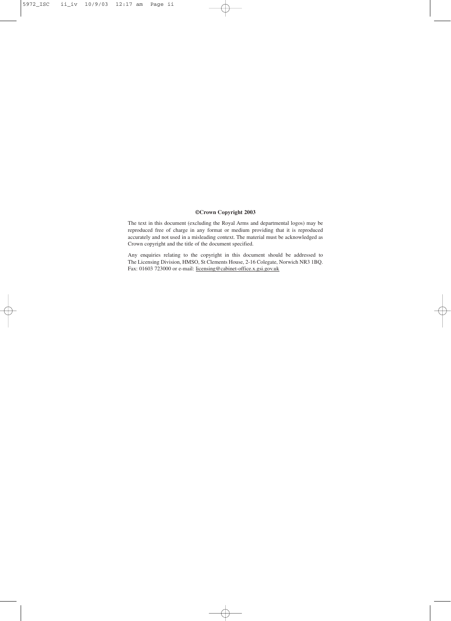#### **©Crown Copyright 2003**

The text in this document (excluding the Royal Arms and departmental logos) may be reproduced free of charge in any format or medium providing that it is reproduced accurately and not used in a misleading context. The material must be acknowledged as Crown copyright and the title of the document specified.

Any enquiries relating to the copyright in this document should be addressed to The Licensing Division, HMSO, St Clements House, 2-16 Colegate, Norwich NR3 1BQ. Fax: 01603 723000 or e-mail: licensing@cabinet-office.x.gsi.gov.uk

</u>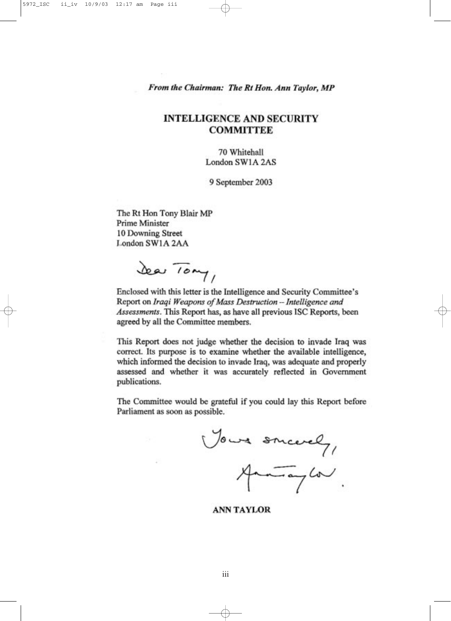From the Chairman: The Rt Hon. Ann Taylor, MP

#### **INTELLIGENCE AND SECURITY COMMITTEE**

70 Whitehall London SW1A 2AS

9 September 2003

The Rt Hon Tony Blair MP Prime Minister 10 Downing Street London SW1A 2AA

Sea Tony,

Enclosed with this letter is the Intelligence and Security Committee's Report on Iraqi Weapons of Mass Destruction -- Intelligence and Assessments. This Report has, as have all previous ISC Reports, been agreed by all the Committee members.

This Report does not judge whether the decision to invade Iraq was correct. Its purpose is to examine whether the available intelligence, which informed the decision to invade Iraq, was adequate and properly assessed and whether it was accurately reflected in Government publications.

The Committee would be grateful if you could lay this Report before Parliament as soon as possible.

Your snicely,  $\frac{1}{\sqrt{2}}$ 

**ANN TAYLOR**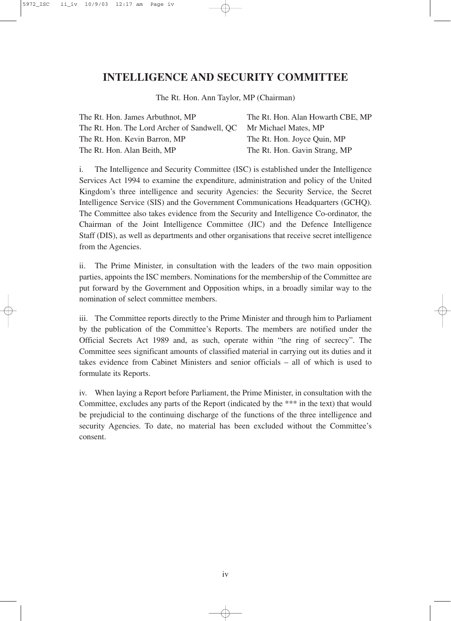#### **INTELLIGENCE AND SECURITY COMMITTEE**

The Rt. Hon. Ann Taylor, MP (Chairman)

| The Rt. Hon. Alan Howarth CBE, MP                                 |
|-------------------------------------------------------------------|
| The Rt. Hon. The Lord Archer of Sandwell, QC Mr Michael Mates, MP |
| The Rt. Hon. Joyce Quin, MP                                       |
| The Rt. Hon. Gavin Strang, MP                                     |
|                                                                   |

i. The Intelligence and Security Committee (ISC) is established under the Intelligence Services Act 1994 to examine the expenditure, administration and policy of the United Kingdom's three intelligence and security Agencies: the Security Service, the Secret Intelligence Service (SIS) and the Government Communications Headquarters (GCHQ). The Committee also takes evidence from the Security and Intelligence Co-ordinator, the Chairman of the Joint Intelligence Committee (JIC) and the Defence Intelligence Staff (DIS), as well as departments and other organisations that receive secret intelligence from the Agencies.

ii. The Prime Minister, in consultation with the leaders of the two main opposition parties, appoints the ISC members. Nominations for the membership of the Committee are put forward by the Government and Opposition whips, in a broadly similar way to the nomination of select committee members.

iii. The Committee reports directly to the Prime Minister and through him to Parliament by the publication of the Committee's Reports. The members are notified under the Official Secrets Act 1989 and, as such, operate within "the ring of secrecy". The Committee sees significant amounts of classified material in carrying out its duties and it takes evidence from Cabinet Ministers and senior officials – all of which is used to formulate its Reports.

iv. When laying a Report before Parliament, the Prime Minister, in consultation with the Committee, excludes any parts of the Report (indicated by the \*\*\* in the text) that would be prejudicial to the continuing discharge of the functions of the three intelligence and security Agencies. To date, no material has been excluded without the Committee's consent.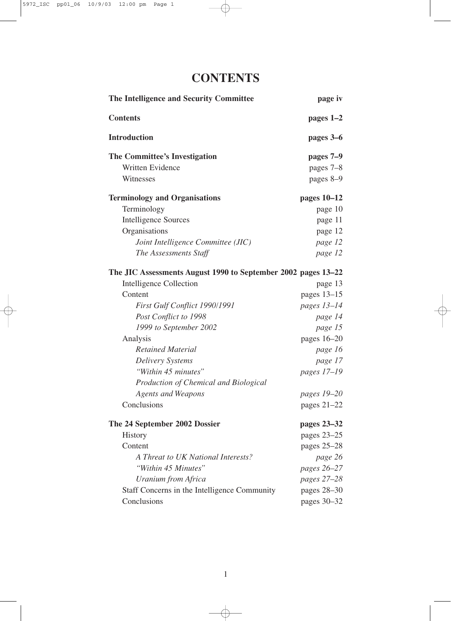## **CONTENTS**

| The Intelligence and Security Committee                       | page iv       |
|---------------------------------------------------------------|---------------|
| <b>Contents</b>                                               | pages 1-2     |
| <b>Introduction</b>                                           | pages 3–6     |
| <b>The Committee's Investigation</b>                          | pages 7–9     |
| Written Evidence                                              | pages 7-8     |
| Witnesses                                                     | pages 8-9     |
| <b>Terminology and Organisations</b>                          | pages $10-12$ |
| Terminology                                                   | page 10       |
| <b>Intelligence Sources</b>                                   | page 11       |
| Organisations                                                 | page 12       |
| Joint Intelligence Committee (JIC)                            | page 12       |
| The Assessments Staff                                         | page 12       |
| The JIC Assessments August 1990 to September 2002 pages 13–22 |               |
| <b>Intelligence Collection</b>                                | page 13       |
| Content                                                       | pages 13-15   |
| First Gulf Conflict 1990/1991                                 | pages 13-14   |
| Post Conflict to 1998                                         | page 14       |
| 1999 to September 2002                                        | page 15       |
| Analysis                                                      | pages 16-20   |
| <b>Retained Material</b>                                      | page 16       |
| <b>Delivery Systems</b>                                       | page 17       |
| "Within 45 minutes"                                           | pages 17-19   |
| Production of Chemical and Biological                         |               |
| <b>Agents and Weapons</b>                                     | pages 19-20   |
| Conclusions                                                   | pages 21-22   |
| The 24 September 2002 Dossier                                 | pages 23-32   |
| <b>History</b>                                                | pages 23-25   |
| Content                                                       | pages $25-28$ |
| A Threat to UK National Interests?                            | page 26       |
| "Within 45 Minutes"                                           | pages 26-27   |
| <b>Uranium from Africa</b>                                    | pages 27-28   |
| Staff Concerns in the Intelligence Community                  | pages 28-30   |
| Conclusions                                                   | pages 30–32   |

1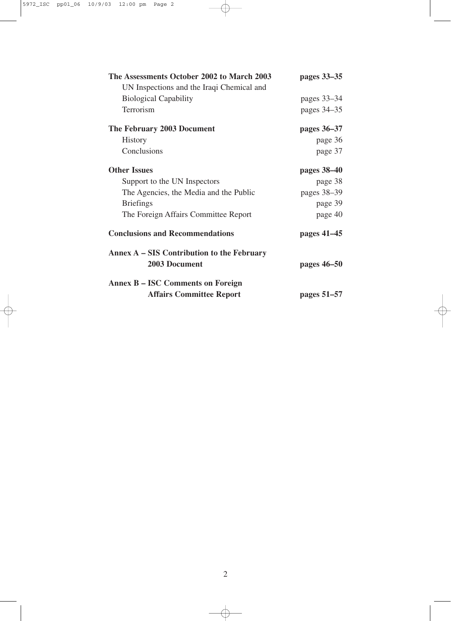| The Assessments October 2002 to March 2003                  | pages 33–35   |
|-------------------------------------------------------------|---------------|
| UN Inspections and the Iraqi Chemical and                   |               |
| <b>Biological Capability</b>                                | pages $33-34$ |
| Terrorism                                                   | pages 34-35   |
| The February 2003 Document                                  | pages 36–37   |
| <b>History</b>                                              | page 36       |
| Conclusions                                                 | page 37       |
| <b>Other Issues</b>                                         | pages 38–40   |
| Support to the UN Inspectors                                | page 38       |
| The Agencies, the Media and the Public                      | pages 38-39   |
| <b>Briefings</b>                                            | page 39       |
| The Foreign Affairs Committee Report                        | page 40       |
| <b>Conclusions and Recommendations</b>                      | pages 41–45   |
| Annex A – SIS Contribution to the February<br>2003 Document | pages 46–50   |
| <b>Annex B – ISC Comments on Foreign</b>                    |               |
| <b>Affairs Committee Report</b>                             | pages 51–57   |

 $\bigoplus$ 

2

 $\overline{\oplus}$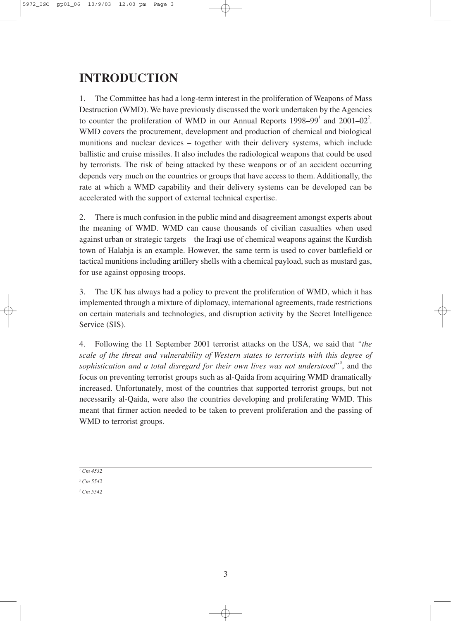## **INTRODUCTION**

1. The Committee has had a long-term interest in the proliferation of Weapons of Mass Destruction (WMD). We have previously discussed the work undertaken by the Agencies to counter the proliferation of WMD in our Annual Reports  $1998-99^1$  and  $2001-02^2$ . WMD covers the procurement, development and production of chemical and biological munitions and nuclear devices – together with their delivery systems, which include ballistic and cruise missiles. It also includes the radiological weapons that could be used by terrorists. The risk of being attacked by these weapons or of an accident occurring depends very much on the countries or groups that have access to them. Additionally, the rate at which a WMD capability and their delivery systems can be developed can be accelerated with the support of external technical expertise.

2. There is much confusion in the public mind and disagreement amongst experts about the meaning of WMD. WMD can cause thousands of civilian casualties when used against urban or strategic targets – the Iraqi use of chemical weapons against the Kurdish town of Halabja is an example. However, the same term is used to cover battlefield or tactical munitions including artillery shells with a chemical payload, such as mustard gas, for use against opposing troops.

3. The UK has always had a policy to prevent the proliferation of WMD, which it has implemented through a mixture of diplomacy, international agreements, trade restrictions on certain materials and technologies, and disruption activity by the Secret Intelligence Service (SIS).

4. Following the 11 September 2001 terrorist attacks on the USA, we said that *"the scale of the threat and vulnerability of Western states to terrorists with this degree of* sophistication and a total disregard for their own lives was not understood"<sup>3</sup>, and the focus on preventing terrorist groups such as al-Qaida from acquiring WMD dramatically increased. Unfortunately, most of the countries that supported terrorist groups, but not necessarily al-Qaida, were also the countries developing and proliferating WMD. This meant that firmer action needed to be taken to prevent proliferation and the passing of WMD to terrorist groups.

*<sup>1</sup> Cm 4532*

*<sup>2</sup> Cm 5542*

*<sup>3</sup> Cm 5542*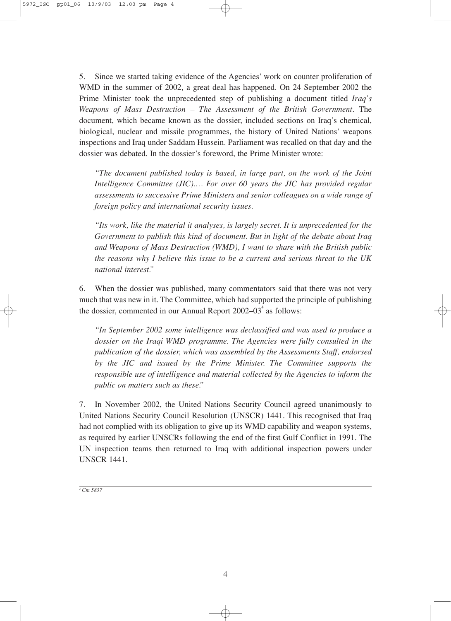5. Since we started taking evidence of the Agencies' work on counter proliferation of WMD in the summer of 2002, a great deal has happened. On 24 September 2002 the Prime Minister took the unprecedented step of publishing a document titled *Iraq's Weapons of Mass Destruction – The Assessment of the British Government*. The document, which became known as the dossier, included sections on Iraq's chemical, biological, nuclear and missile programmes, the history of United Nations' weapons inspections and Iraq under Saddam Hussein. Parliament was recalled on that day and the dossier was debated. In the dossier's foreword, the Prime Minister wrote:

*"The document published today is based, in large part, on the work of the Joint Intelligence Committee (JIC).… For over 60 years the JIC has provided regular assessments to successive Prime Ministers and senior colleagues on a wide range of foreign policy and international security issues.*

*"Its work, like the material it analyses, is largely secret. It is unprecedented for the Government to publish this kind of document. But in light of the debate about Iraq and Weapons of Mass Destruction (WMD), I want to share with the British public the reasons why I believe this issue to be a current and serious threat to the UK national interest."*

6. When the dossier was published, many commentators said that there was not very much that was new in it. The Committee, which had supported the principle of publishing the dossier, commented in our Annual Report  $2002-03^4$  as follows:

*"In September 2002 some intelligence was declassified and was used to produce a dossier on the Iraqi WMD programme. The Agencies were fully consulted in the publication of the dossier, which was assembled by the Assessments Staff, endorsed by the JIC and issued by the Prime Minister. The Committee supports the responsible use of intelligence and material collected by the Agencies to inform the public on matters such as these."*

7. In November 2002, the United Nations Security Council agreed unanimously to United Nations Security Council Resolution (UNSCR) 1441. This recognised that Iraq had not complied with its obligation to give up its WMD capability and weapon systems, as required by earlier UNSCRs following the end of the first Gulf Conflict in 1991. The UN inspection teams then returned to Iraq with additional inspection powers under UNSCR 1441.

*<sup>4</sup> Cm 5837*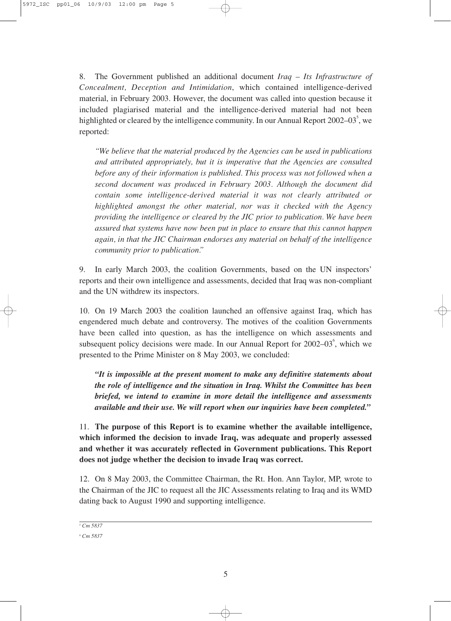8. The Government published an additional document *Iraq – Its Infrastructure of Concealment, Deception and Intimidation*, which contained intelligence-derived material, in February 2003. However, the document was called into question because it included plagiarised material and the intelligence-derived material had not been highlighted or cleared by the intelligence community. In our Annual Report 2002–03 $\degree$ , we reported:

*"We believe that the material produced by the Agencies can be used in publications and attributed appropriately, but it is imperative that the Agencies are consulted before any of their information is published. This process was not followed when a second document was produced in February 2003. Although the document did contain some intelligence-derived material it was not clearly attributed or highlighted amongst the other material, nor was it checked with the Agency providing the intelligence or cleared by the JIC prior to publication. We have been assured that systems have now been put in place to ensure that this cannot happen again, in that the JIC Chairman endorses any material on behalf of the intelligence community prior to publication."*

9. In early March 2003, the coalition Governments, based on the UN inspectors' reports and their own intelligence and assessments, decided that Iraq was non-compliant and the UN withdrew its inspectors.

10. On 19 March 2003 the coalition launched an offensive against Iraq, which has engendered much debate and controversy. The motives of the coalition Governments have been called into question, as has the intelligence on which assessments and subsequent policy decisions were made. In our Annual Report for  $2002-03^{\circ}$ , which we presented to the Prime Minister on 8 May 2003, we concluded:

*"It is impossible at the present moment to make any definitive statements about the role of intelligence and the situation in Iraq. Whilst the Committee has been briefed, we intend to examine in more detail the intelligence and assessments available and their use. We will report when our inquiries have been completed."*

11. **The purpose of this Report is to examine whether the available intelligence, which informed the decision to invade Iraq, was adequate and properly assessed and whether it was accurately reflected in Government publications. This Report does not judge whether the decision to invade Iraq was correct.**

12. On 8 May 2003, the Committee Chairman, the Rt. Hon. Ann Taylor, MP, wrote to the Chairman of the JIC to request all the JIC Assessments relating to Iraq and its WMD dating back to August 1990 and supporting intelligence.

*<sup>5</sup> Cm 5837*

*<sup>6</sup> Cm 5837*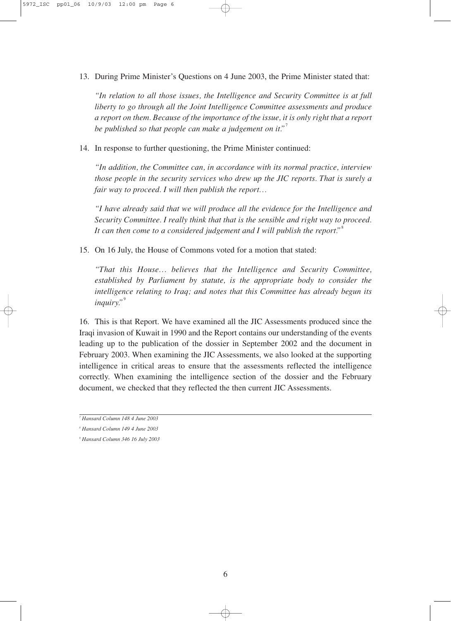13. During Prime Minister's Questions on 4 June 2003, the Prime Minister stated that:

*"In relation to all those issues, the Intelligence and Security Committee is at full liberty to go through all the Joint Intelligence Committee assessments and produce a report on them. Because of the importance of the issue, it is only right that a report be published so that people can make a judgement on it."* 7

14. In response to further questioning, the Prime Minister continued:

*"In addition, the Committee can, in accordance with its normal practice, interview those people in the security services who drew up the JIC reports. That is surely a fair way to proceed. I will then publish the report…*

*"I have already said that we will produce all the evidence for the Intelligence and Security Committee. I really think that that is the sensible and right way to proceed. It can then come to a considered judgement and I will publish the report."* 8

15. On 16 July, the House of Commons voted for a motion that stated:

*"That this House… believes that the Intelligence and Security Committee, established by Parliament by statute, is the appropriate body to consider the intelligence relating to Iraq; and notes that this Committee has already begun its inquiry."* 9

16. This is that Report. We have examined all the JIC Assessments produced since the Iraqi invasion of Kuwait in 1990 and the Report contains our understanding of the events leading up to the publication of the dossier in September 2002 and the document in February 2003. When examining the JIC Assessments, we also looked at the supporting intelligence in critical areas to ensure that the assessments reflected the intelligence correctly. When examining the intelligence section of the dossier and the February document, we checked that they reflected the then current JIC Assessments.

*<sup>7</sup> Hansard Column 148 4 June 2003*

*<sup>8</sup> Hansard Column 149 4 June 2003*

*<sup>9</sup> Hansard Column 346 16 July 2003*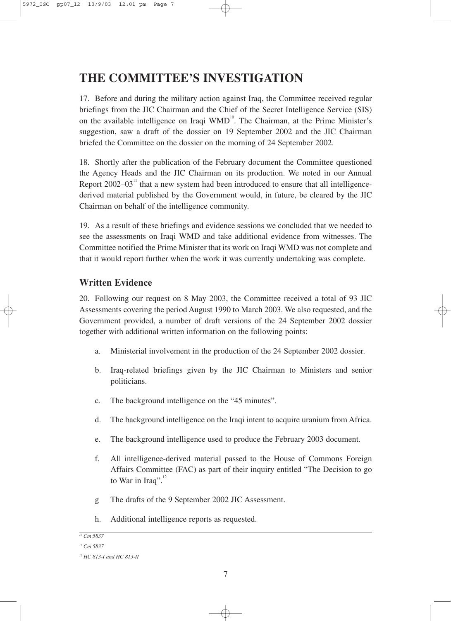## **THE COMMITTEE'S INVESTIGATION**

17. Before and during the military action against Iraq, the Committee received regular briefings from the JIC Chairman and the Chief of the Secret Intelligence Service (SIS) on the available intelligence on Iraqi WMD<sup>10</sup>. The Chairman, at the Prime Minister's suggestion, saw a draft of the dossier on 19 September 2002 and the JIC Chairman briefed the Committee on the dossier on the morning of 24 September 2002.

18. Shortly after the publication of the February document the Committee questioned the Agency Heads and the JIC Chairman on its production. We noted in our Annual Report  $2002-03<sup>11</sup>$  that a new system had been introduced to ensure that all intelligencederived material published by the Government would, in future, be cleared by the JIC Chairman on behalf of the intelligence community.

19. As a result of these briefings and evidence sessions we concluded that we needed to see the assessments on Iraqi WMD and take additional evidence from witnesses. The Committee notified the Prime Minister that its work on Iraqi WMD was not complete and that it would report further when the work it was currently undertaking was complete.

#### **Written Evidence**

20. Following our request on 8 May 2003, the Committee received a total of 93 JIC Assessments covering the period August 1990 to March 2003. We also requested, and the Government provided, a number of draft versions of the 24 September 2002 dossier together with additional written information on the following points:

- a. Ministerial involvement in the production of the 24 September 2002 dossier.
- b. Iraq-related briefings given by the JIC Chairman to Ministers and senior politicians.
- c. The background intelligence on the "45 minutes".
- d. The background intelligence on the Iraqi intent to acquire uranium from Africa.
- e. The background intelligence used to produce the February 2003 document.
- f. All intelligence-derived material passed to the House of Commons Foreign Affairs Committee (FAC) as part of their inquiry entitled "The Decision to go to War in Iraq".<sup>12</sup>
- g The drafts of the 9 September 2002 JIC Assessment.
- h. Additional intelligence reports as requested.

*<sup>10</sup> Cm 5837*

</u>

*<sup>11</sup> Cm 5837*

*<sup>12</sup> HC 813-I and HC 813-II*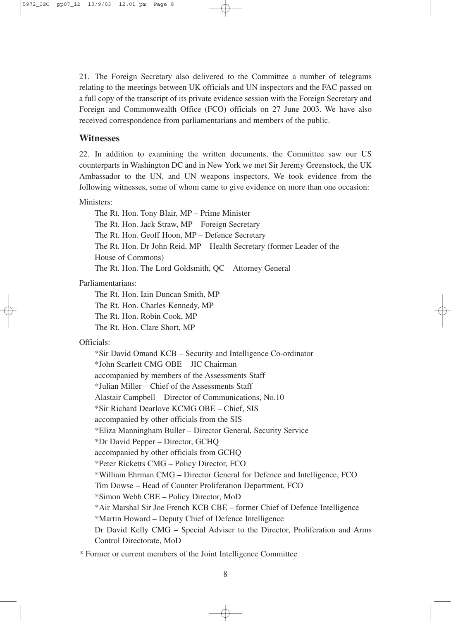21. The Foreign Secretary also delivered to the Committee a number of telegrams relating to the meetings between UK officials and UN inspectors and the FAC passed on a full copy of the transcript of its private evidence session with the Foreign Secretary and Foreign and Commonwealth Office (FCO) officials on 27 June 2003. We have also received correspondence from parliamentarians and members of the public.

#### **Witnesses**

22. In addition to examining the written documents, the Committee saw our US counterparts in Washington DC and in New York we met Sir Jeremy Greenstock, the UK Ambassador to the UN, and UN weapons inspectors. We took evidence from the following witnesses, some of whom came to give evidence on more than one occasion:

#### Ministers:

The Rt. Hon. Tony Blair, MP – Prime Minister The Rt. Hon. Jack Straw, MP – Foreign Secretary The Rt. Hon. Geoff Hoon, MP – Defence Secretary The Rt. Hon. Dr John Reid, MP – Health Secretary (former Leader of the House of Commons) The Rt. Hon. The Lord Goldsmith, QC – Attorney General

#### Parliamentarians:

The Rt. Hon. Iain Duncan Smith, MP The Rt. Hon. Charles Kennedy, MP

The Rt. Hon. Robin Cook, MP

The Rt. Hon. Clare Short, MP

#### Officials:

\*Sir David Omand KCB – Security and Intelligence Co-ordinator \*John Scarlett CMG OBE – JIC Chairman accompanied by members of the Assessments Staff \*Julian Miller – Chief of the Assessments Staff Alastair Campbell – Director of Communications, No.10 \*Sir Richard Dearlove KCMG OBE – Chief, SIS accompanied by other officials from the SIS \*Eliza Manningham Buller – Director General, Security Service \*Dr David Pepper – Director, GCHQ accompanied by other officials from GCHQ \*Peter Ricketts CMG – Policy Director, FCO \*William Ehrman CMG – Director General for Defence and Intelligence, FCO Tim Dowse – Head of Counter Proliferation Department, FCO \*Simon Webb CBE – Policy Director, MoD \*Air Marshal Sir Joe French KCB CBE – former Chief of Defence Intelligence \*Martin Howard – Deputy Chief of Defence Intelligence Dr David Kelly CMG – Special Adviser to the Director, Proliferation and Arms Control Directorate, MoD

\* Former or current members of the Joint Intelligence Committee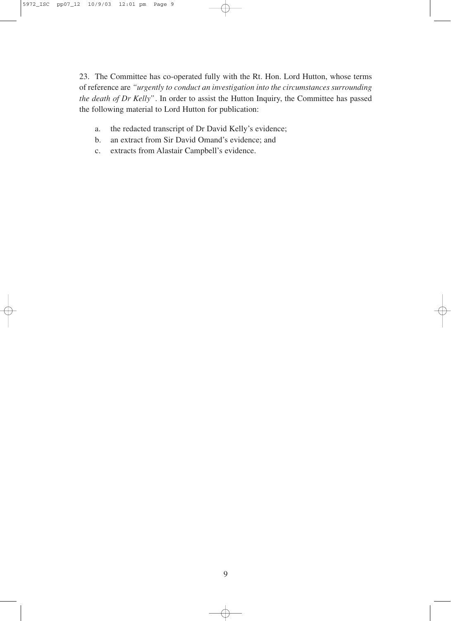23. The Committee has co-operated fully with the Rt. Hon. Lord Hutton, whose terms of reference are *"urgently to conduct an investigation into the circumstances surrounding the death of Dr Kelly"*. In order to assist the Hutton Inquiry, the Committee has passed the following material to Lord Hutton for publication:

- a. the redacted transcript of Dr David Kelly's evidence;
- b. an extract from Sir David Omand's evidence; and
- c. extracts from Alastair Campbell's evidence.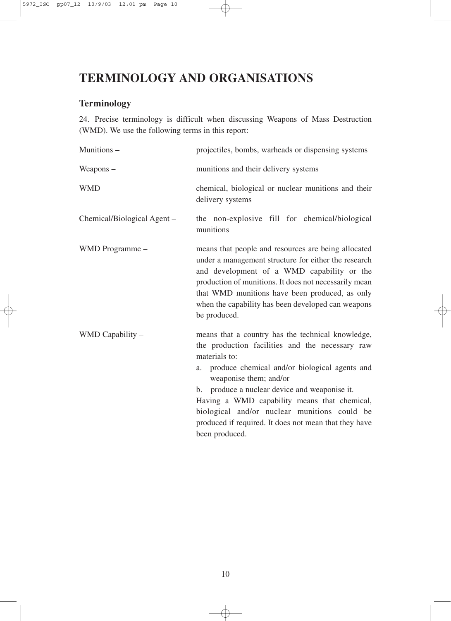## **TERMINOLOGY AND ORGANISATIONS**

## **Terminology**

24. Precise terminology is difficult when discussing Weapons of Mass Destruction (WMD). We use the following terms in this report:

| Munitions -                 | projectiles, bombs, warheads or dispensing systems                                                                                                                                                                                                                                                                                                                                                                  |
|-----------------------------|---------------------------------------------------------------------------------------------------------------------------------------------------------------------------------------------------------------------------------------------------------------------------------------------------------------------------------------------------------------------------------------------------------------------|
| Weapons $-$                 | munitions and their delivery systems                                                                                                                                                                                                                                                                                                                                                                                |
| $WMD -$                     | chemical, biological or nuclear munitions and their<br>delivery systems                                                                                                                                                                                                                                                                                                                                             |
| Chemical/Biological Agent - | the non-explosive fill for chemical/biological<br>munitions                                                                                                                                                                                                                                                                                                                                                         |
| WMD Programme -             | means that people and resources are being allocated<br>under a management structure for either the research<br>and development of a WMD capability or the<br>production of munitions. It does not necessarily mean<br>that WMD munitions have been produced, as only<br>when the capability has been developed can weapons<br>be produced.                                                                          |
| WMD Capability -            | means that a country has the technical knowledge,<br>the production facilities and the necessary raw<br>materials to:<br>produce chemical and/or biological agents and<br>a.<br>weaponise them; and/or<br>produce a nuclear device and weaponise it.<br>b.<br>Having a WMD capability means that chemical,<br>biological and/or nuclear munitions could be<br>produced if required. It does not mean that they have |

10

 $\ominus$ 

been produced.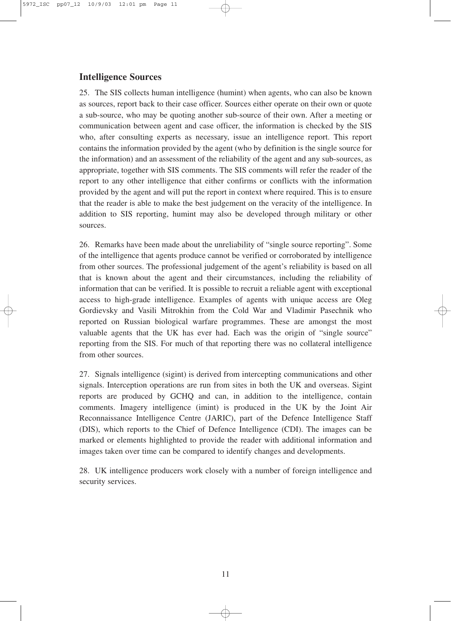#### **Intelligence Sources**

25. The SIS collects human intelligence (humint) when agents, who can also be known as sources, report back to their case officer. Sources either operate on their own or quote a sub-source, who may be quoting another sub-source of their own. After a meeting or communication between agent and case officer, the information is checked by the SIS who, after consulting experts as necessary, issue an intelligence report. This report contains the information provided by the agent (who by definition is the single source for the information) and an assessment of the reliability of the agent and any sub-sources, as appropriate, together with SIS comments. The SIS comments will refer the reader of the report to any other intelligence that either confirms or conflicts with the information provided by the agent and will put the report in context where required. This is to ensure that the reader is able to make the best judgement on the veracity of the intelligence. In addition to SIS reporting, humint may also be developed through military or other sources.

26. Remarks have been made about the unreliability of "single source reporting". Some of the intelligence that agents produce cannot be verified or corroborated by intelligence from other sources. The professional judgement of the agent's reliability is based on all that is known about the agent and their circumstances, including the reliability of information that can be verified. It is possible to recruit a reliable agent with exceptional access to high-grade intelligence. Examples of agents with unique access are Oleg Gordievsky and Vasili Mitrokhin from the Cold War and Vladimir Pasechnik who reported on Russian biological warfare programmes. These are amongst the most valuable agents that the UK has ever had. Each was the origin of "single source" reporting from the SIS. For much of that reporting there was no collateral intelligence from other sources.

27. Signals intelligence (sigint) is derived from intercepting communications and other signals. Interception operations are run from sites in both the UK and overseas. Sigint reports are produced by GCHQ and can, in addition to the intelligence, contain comments. Imagery intelligence (imint) is produced in the UK by the Joint Air Reconnaissance Intelligence Centre (JARIC), part of the Defence Intelligence Staff (DIS), which reports to the Chief of Defence Intelligence (CDI). The images can be marked or elements highlighted to provide the reader with additional information and images taken over time can be compared to identify changes and developments.

28. UK intelligence producers work closely with a number of foreign intelligence and security services.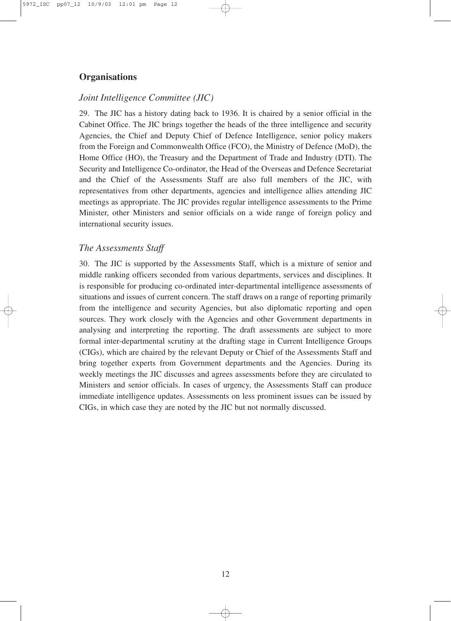#### **Organisations**

#### *Joint Intelligence Committee (JIC)*

29. The JIC has a history dating back to 1936. It is chaired by a senior official in the Cabinet Office. The JIC brings together the heads of the three intelligence and security Agencies, the Chief and Deputy Chief of Defence Intelligence, senior policy makers from the Foreign and Commonwealth Office (FCO), the Ministry of Defence (MoD), the Home Office (HO), the Treasury and the Department of Trade and Industry (DTI). The Security and Intelligence Co-ordinator, the Head of the Overseas and Defence Secretariat and the Chief of the Assessments Staff are also full members of the JIC, with representatives from other departments, agencies and intelligence allies attending JIC meetings as appropriate. The JIC provides regular intelligence assessments to the Prime Minister, other Ministers and senior officials on a wide range of foreign policy and international security issues.

#### *The Assessments Staff*

30. The JIC is supported by the Assessments Staff, which is a mixture of senior and middle ranking officers seconded from various departments, services and disciplines. It is responsible for producing co-ordinated inter-departmental intelligence assessments of situations and issues of current concern. The staff draws on a range of reporting primarily from the intelligence and security Agencies, but also diplomatic reporting and open sources. They work closely with the Agencies and other Government departments in analysing and interpreting the reporting. The draft assessments are subject to more formal inter-departmental scrutiny at the drafting stage in Current Intelligence Groups (CIGs), which are chaired by the relevant Deputy or Chief of the Assessments Staff and bring together experts from Government departments and the Agencies. During its weekly meetings the JIC discusses and agrees assessments before they are circulated to Ministers and senior officials. In cases of urgency, the Assessments Staff can produce immediate intelligence updates. Assessments on less prominent issues can be issued by CIGs, in which case they are noted by the JIC but not normally discussed.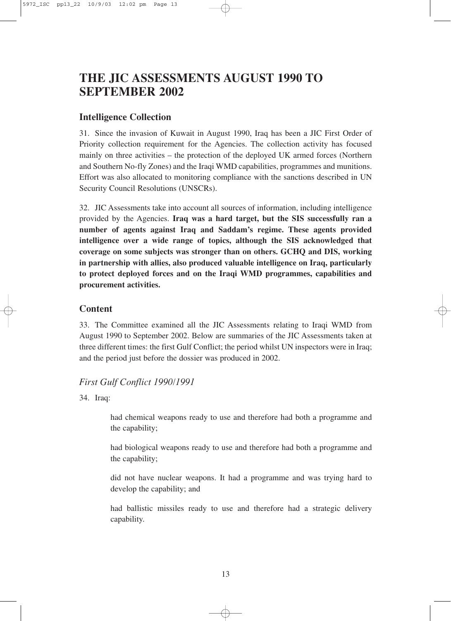## **THE JIC ASSESSMENTS AUGUST 1990 TO SEPTEMBER 2002**

#### **Intelligence Collection**

31. Since the invasion of Kuwait in August 1990, Iraq has been a JIC First Order of Priority collection requirement for the Agencies. The collection activity has focused mainly on three activities – the protection of the deployed UK armed forces (Northern and Southern No-fly Zones) and the Iraqi WMD capabilities, programmes and munitions. Effort was also allocated to monitoring compliance with the sanctions described in UN Security Council Resolutions (UNSCRs).

32. JIC Assessments take into account all sources of information, including intelligence provided by the Agencies. **Iraq was a hard target, but the SIS successfully ran a number of agents against Iraq and Saddam's regime. These agents provided intelligence over a wide range of topics, although the SIS acknowledged that coverage on some subjects was stronger than on others. GCHQ and DIS, working in partnership with allies, also produced valuable intelligence on Iraq, particularly to protect deployed forces and on the Iraqi WMD programmes, capabilities and procurement activities.** 

#### **Content**

33. The Committee examined all the JIC Assessments relating to Iraqi WMD from August 1990 to September 2002. Below are summaries of the JIC Assessments taken at three different times: the first Gulf Conflict; the period whilst UN inspectors were in Iraq; and the period just before the dossier was produced in 2002.

#### *First Gulf Conflict 1990/1991*

34. Iraq:

had chemical weapons ready to use and therefore had both a programme and the capability;

had biological weapons ready to use and therefore had both a programme and the capability;

did not have nuclear weapons. It had a programme and was trying hard to develop the capability; and

had ballistic missiles ready to use and therefore had a strategic delivery capability.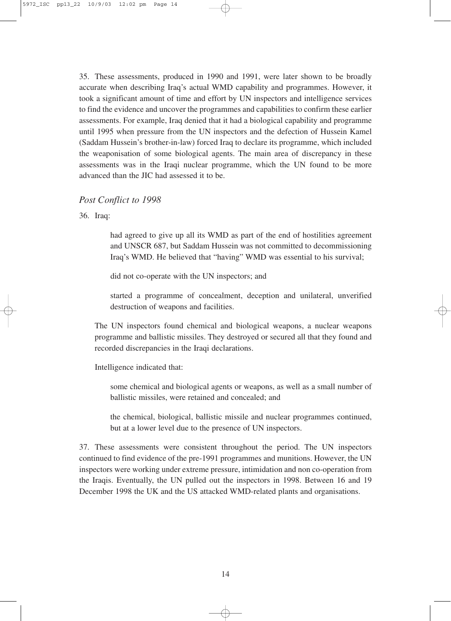35. These assessments, produced in 1990 and 1991, were later shown to be broadly accurate when describing Iraq's actual WMD capability and programmes. However, it took a significant amount of time and effort by UN inspectors and intelligence services to find the evidence and uncover the programmes and capabilities to confirm these earlier assessments. For example, Iraq denied that it had a biological capability and programme until 1995 when pressure from the UN inspectors and the defection of Hussein Kamel (Saddam Hussein's brother-in-law) forced Iraq to declare its programme, which included the weaponisation of some biological agents. The main area of discrepancy in these assessments was in the Iraqi nuclear programme, which the UN found to be more advanced than the JIC had assessed it to be.

#### *Post Conflict to 1998*

36. Iraq:

had agreed to give up all its WMD as part of the end of hostilities agreement and UNSCR 687, but Saddam Hussein was not committed to decommissioning Iraq's WMD. He believed that "having" WMD was essential to his survival;

did not co-operate with the UN inspectors; and

started a programme of concealment, deception and unilateral, unverified destruction of weapons and facilities.

The UN inspectors found chemical and biological weapons, a nuclear weapons programme and ballistic missiles. They destroyed or secured all that they found and recorded discrepancies in the Iraqi declarations.

Intelligence indicated that:

some chemical and biological agents or weapons, as well as a small number of ballistic missiles, were retained and concealed; and

the chemical, biological, ballistic missile and nuclear programmes continued, but at a lower level due to the presence of UN inspectors.

37. These assessments were consistent throughout the period. The UN inspectors continued to find evidence of the pre-1991 programmes and munitions. However, the UN inspectors were working under extreme pressure, intimidation and non co-operation from the Iraqis. Eventually, the UN pulled out the inspectors in 1998. Between 16 and 19 December 1998 the UK and the US attacked WMD-related plants and organisations.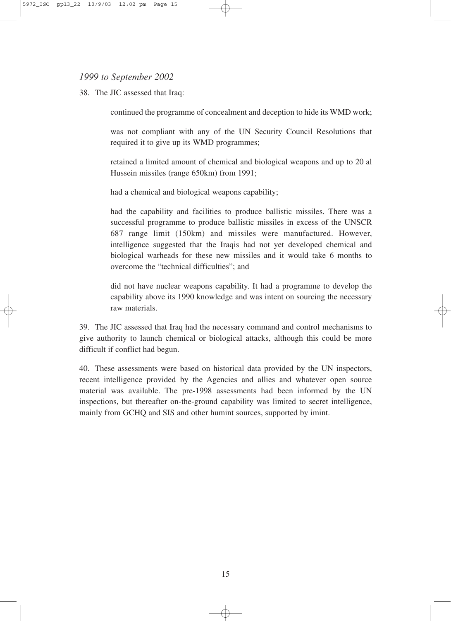#### *1999 to September 2002*

38. The JIC assessed that Iraq:

continued the programme of concealment and deception to hide its WMD work;

was not compliant with any of the UN Security Council Resolutions that required it to give up its WMD programmes;

retained a limited amount of chemical and biological weapons and up to 20 al Hussein missiles (range 650km) from 1991;

had a chemical and biological weapons capability;

had the capability and facilities to produce ballistic missiles. There was a successful programme to produce ballistic missiles in excess of the UNSCR 687 range limit (150km) and missiles were manufactured. However, intelligence suggested that the Iraqis had not yet developed chemical and biological warheads for these new missiles and it would take 6 months to overcome the "technical difficulties"; and

did not have nuclear weapons capability. It had a programme to develop the capability above its 1990 knowledge and was intent on sourcing the necessary raw materials.

39. The JIC assessed that Iraq had the necessary command and control mechanisms to give authority to launch chemical or biological attacks, although this could be more difficult if conflict had begun.

40. These assessments were based on historical data provided by the UN inspectors, recent intelligence provided by the Agencies and allies and whatever open source material was available. The pre-1998 assessments had been informed by the UN inspections, but thereafter on-the-ground capability was limited to secret intelligence, mainly from GCHQ and SIS and other humint sources, supported by imint.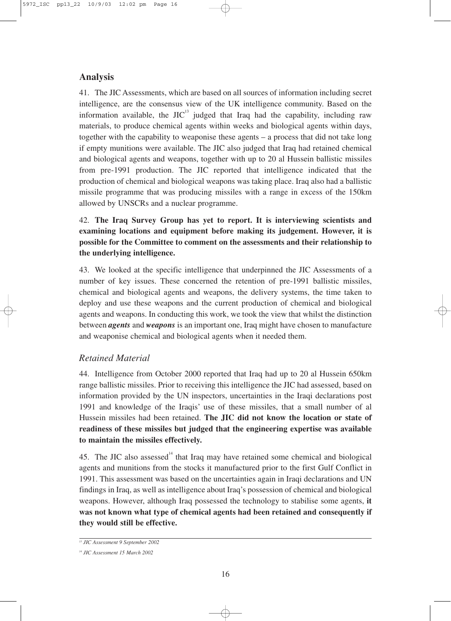#### **Analysis**

41. The JIC Assessments, which are based on all sources of information including secret intelligence, are the consensus view of the UK intelligence community. Based on the information available, the  $JIC<sup>13</sup>$  judged that Iraq had the capability, including raw materials, to produce chemical agents within weeks and biological agents within days, together with the capability to weaponise these agents – a process that did not take long if empty munitions were available. The JIC also judged that Iraq had retained chemical and biological agents and weapons, together with up to 20 al Hussein ballistic missiles from pre-1991 production. The JIC reported that intelligence indicated that the production of chemical and biological weapons was taking place. Iraq also had a ballistic missile programme that was producing missiles with a range in excess of the 150km allowed by UNSCRs and a nuclear programme.

42. **The Iraq Survey Group has yet to report. It is interviewing scientists and examining locations and equipment before making its judgement. However, it is possible for the Committee to comment on the assessments and their relationship to the underlying intelligence.**

43. We looked at the specific intelligence that underpinned the JIC Assessments of a number of key issues. These concerned the retention of pre-1991 ballistic missiles, chemical and biological agents and weapons, the delivery systems, the time taken to deploy and use these weapons and the current production of chemical and biological agents and weapons. In conducting this work, we took the view that whilst the distinction between *agents* and *weapons* is an important one, Iraq might have chosen to manufacture and weaponise chemical and biological agents when it needed them.

#### *Retained Material*

44. Intelligence from October 2000 reported that Iraq had up to 20 al Hussein 650km range ballistic missiles. Prior to receiving this intelligence the JIC had assessed, based on information provided by the UN inspectors, uncertainties in the Iraqi declarations post 1991 and knowledge of the Iraqis' use of these missiles, that a small number of al Hussein missiles had been retained. **The JIC did not know the location or state of readiness of these missiles but judged that the engineering expertise was available to maintain the missiles effectively.** 

45. The JIC also assessed $14$  that Iraq may have retained some chemical and biological agents and munitions from the stocks it manufactured prior to the first Gulf Conflict in 1991. This assessment was based on the uncertainties again in Iraqi declarations and UN findings in Iraq, as well as intelligence about Iraq's possession of chemical and biological weapons. However, although Iraq possessed the technology to stabilise some agents, **it was not known what type of chemical agents had been retained and consequently if they would still be effective.**

*<sup>13</sup> JIC Assessment 9 September 2002*

*<sup>14</sup> JIC Assessment 15 March 2002*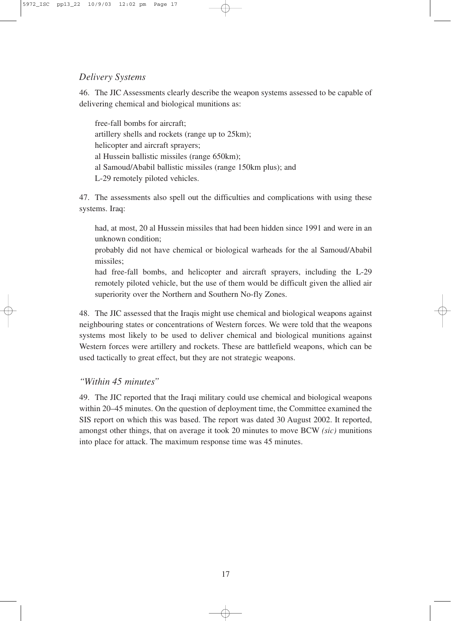#### *Delivery Systems*

46. The JIC Assessments clearly describe the weapon systems assessed to be capable of delivering chemical and biological munitions as:

free-fall bombs for aircraft; artillery shells and rockets (range up to 25km); helicopter and aircraft sprayers; al Hussein ballistic missiles (range 650km); al Samoud/Ababil ballistic missiles (range 150km plus); and L-29 remotely piloted vehicles.

47. The assessments also spell out the difficulties and complications with using these systems. Iraq:

had, at most, 20 al Hussein missiles that had been hidden since 1991 and were in an unknown condition;

probably did not have chemical or biological warheads for the al Samoud/Ababil missiles;

had free-fall bombs, and helicopter and aircraft sprayers, including the L-29 remotely piloted vehicle, but the use of them would be difficult given the allied air superiority over the Northern and Southern No-fly Zones.

48. The JIC assessed that the Iraqis might use chemical and biological weapons against neighbouring states or concentrations of Western forces. We were told that the weapons systems most likely to be used to deliver chemical and biological munitions against Western forces were artillery and rockets. These are battlefield weapons, which can be used tactically to great effect, but they are not strategic weapons.

#### *"Within 45 minutes"*

49. The JIC reported that the Iraqi military could use chemical and biological weapons within 20–45 minutes. On the question of deployment time, the Committee examined the SIS report on which this was based. The report was dated 30 August 2002. It reported, amongst other things, that on average it took 20 minutes to move BCW *(sic)* munitions into place for attack. The maximum response time was 45 minutes.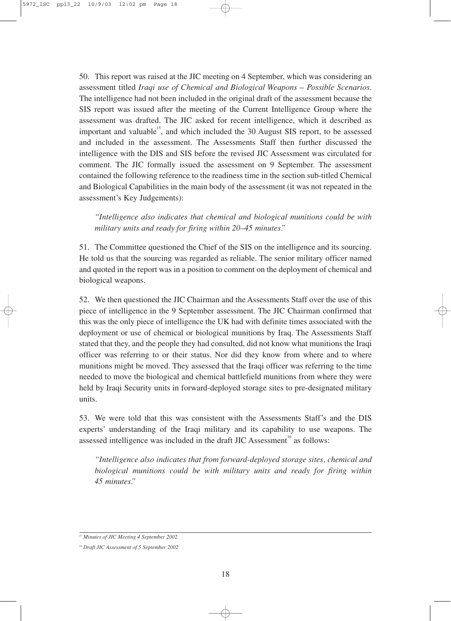50. This report was raised at the JIC meeting on 4 September, which was considering an assessment titled *Iraqi use of Chemical and Biological Weapons – Possible Scenarios*. The intelligence had not been included in the original draft of the assessment because the SIS report was issued after the meeting of the Current Intelligence Group where the assessment was drafted. The JIC asked for recent intelligence, which it described as important and valuable<sup>15</sup>, and which included the 30 August SIS report, to be assessed and included in the assessment. The Assessments Staff then further discussed the intelligence with the DIS and SIS before the revised JIC Assessment was circulated for comment. The JIC formally issued the assessment on 9 September. The assessment contained the following reference to the readiness time in the section sub-titled Chemical and Biological Capabilities in the main body of the assessment (it was not repeated in the assessment's Key Judgements):

*"Intelligence also indicates that chemical and biological munitions could be with military units and ready for firing within 20–45 minutes."*

51. The Committee questioned the Chief of the SIS on the intelligence and its sourcing. He told us that the sourcing was regarded as reliable. The senior military officer named and quoted in the report was in a position to comment on the deployment of chemical and biological weapons.

52. We then questioned the JIC Chairman and the Assessments Staff over the use of this piece of intelligence in the 9 September assessment. The JIC Chairman confirmed that this was the only piece of intelligence the UK had with definite times associated with the deployment or use of chemical or biological munitions by Iraq. The Assessments Staff stated that they, and the people they had consulted, did not know what munitions the Iraqi officer was referring to or their status. Nor did they know from where and to where munitions might be moved. They assessed that the Iraqi officer was referring to the time needed to move the biological and chemical battlefield munitions from where they were held by Iraqi Security units in forward-deployed storage sites to pre-designated military units.

53. We were told that this was consistent with the Assessments Staff's and the DIS experts' understanding of the Iraqi military and its capability to use weapons. The assessed intelligence was included in the draft JIC Assessment<sup>16</sup> as follows:

*"Intelligence also indicates that from forward-deployed storage sites, chemical and biological munitions could be with military units and ready for firing within 45 minutes."*

*<sup>15</sup> Minutes of JIC Meeting 4 September 2002*

*<sup>16</sup> Draft JIC Assessment of 5 September 2002*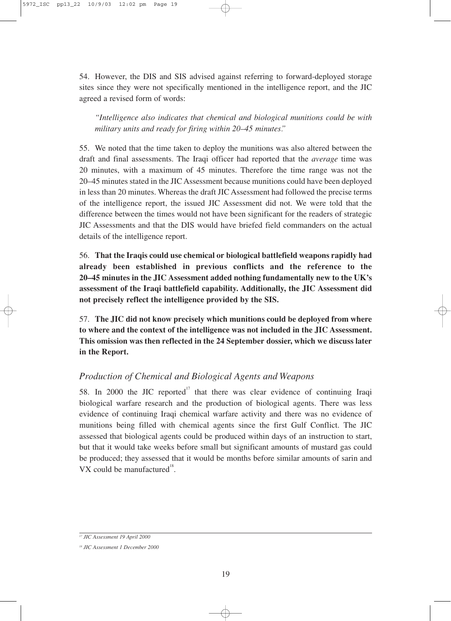54. However, the DIS and SIS advised against referring to forward-deployed storage sites since they were not specifically mentioned in the intelligence report, and the JIC agreed a revised form of words:

*"Intelligence also indicates that chemical and biological munitions could be with military units and ready for firing within 20–45 minutes."*

55. We noted that the time taken to deploy the munitions was also altered between the draft and final assessments. The Iraqi officer had reported that the *average* time was 20 minutes, with a maximum of 45 minutes. Therefore the time range was not the 20–45 minutes stated in the JIC Assessment because munitions could have been deployed in less than 20 minutes. Whereas the draft JIC Assessment had followed the precise terms of the intelligence report, the issued JIC Assessment did not. We were told that the difference between the times would not have been significant for the readers of strategic JIC Assessments and that the DIS would have briefed field commanders on the actual details of the intelligence report.

56. **That the Iraqis could use chemical or biological battlefield weapons rapidly had already been established in previous conflicts and the reference to the 20–45 minutes in the JIC Assessment added nothing fundamentally new to the UK's assessment of the Iraqi battlefield capability. Additionally, the JIC Assessment did not precisely reflect the intelligence provided by the SIS.** 

57. **The JIC did not know precisely which munitions could be deployed from where to where and the context of the intelligence was not included in the JIC Assessment. This omission was then reflected in the 24 September dossier, which we discuss later in the Report.**

#### *Production of Chemical and Biological Agents and Weapons*

58. In 2000 the JIC reported<sup>17</sup> that there was clear evidence of continuing Iraqi biological warfare research and the production of biological agents. There was less evidence of continuing Iraqi chemical warfare activity and there was no evidence of munitions being filled with chemical agents since the first Gulf Conflict. The JIC assessed that biological agents could be produced within days of an instruction to start, but that it would take weeks before small but significant amounts of mustard gas could be produced; they assessed that it would be months before similar amounts of sarin and VX could be manufactured $^{18}$ .

*<sup>17</sup> JIC Assessment 19 April 2000*

*<sup>18</sup> JIC Assessment 1 December 2000*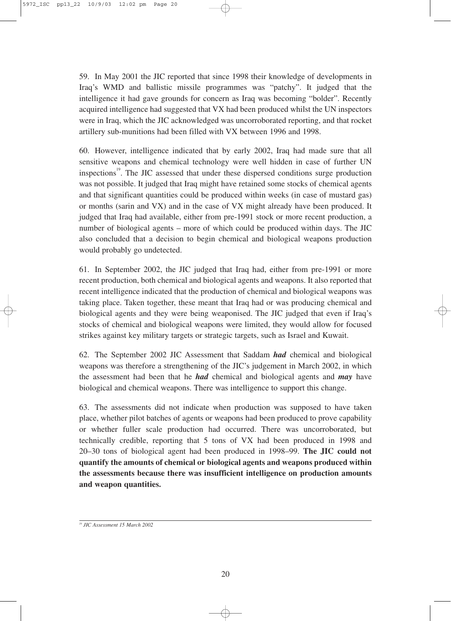59. In May 2001 the JIC reported that since 1998 their knowledge of developments in Iraq's WMD and ballistic missile programmes was "patchy". It judged that the intelligence it had gave grounds for concern as Iraq was becoming "bolder". Recently acquired intelligence had suggested that VX had been produced whilst the UN inspectors were in Iraq, which the JIC acknowledged was uncorroborated reporting, and that rocket artillery sub-munitions had been filled with VX between 1996 and 1998.

60. However, intelligence indicated that by early 2002, Iraq had made sure that all sensitive weapons and chemical technology were well hidden in case of further UN inspections<sup>19</sup>. The JIC assessed that under these dispersed conditions surge production was not possible. It judged that Iraq might have retained some stocks of chemical agents and that significant quantities could be produced within weeks (in case of mustard gas) or months (sarin and VX) and in the case of VX might already have been produced. It judged that Iraq had available, either from pre-1991 stock or more recent production, a number of biological agents – more of which could be produced within days. The JIC also concluded that a decision to begin chemical and biological weapons production would probably go undetected.

61. In September 2002, the JIC judged that Iraq had, either from pre-1991 or more recent production, both chemical and biological agents and weapons. It also reported that recent intelligence indicated that the production of chemical and biological weapons was taking place. Taken together, these meant that Iraq had or was producing chemical and biological agents and they were being weaponised. The JIC judged that even if Iraq's stocks of chemical and biological weapons were limited, they would allow for focused strikes against key military targets or strategic targets, such as Israel and Kuwait.

62. The September 2002 JIC Assessment that Saddam *had* chemical and biological weapons was therefore a strengthening of the JIC's judgement in March 2002, in which the assessment had been that he *had* chemical and biological agents and *may* have biological and chemical weapons. There was intelligence to support this change.

63. The assessments did not indicate when production was supposed to have taken place, whether pilot batches of agents or weapons had been produced to prove capability or whether fuller scale production had occurred. There was uncorroborated, but technically credible, reporting that 5 tons of VX had been produced in 1998 and 20–30 tons of biological agent had been produced in 1998–99. **The JIC could not quantify the amounts of chemical or biological agents and weapons produced within the assessments because there was insufficient intelligence on production amounts and weapon quantities.**

*<sup>19</sup> JIC Assessment 15 March 2002*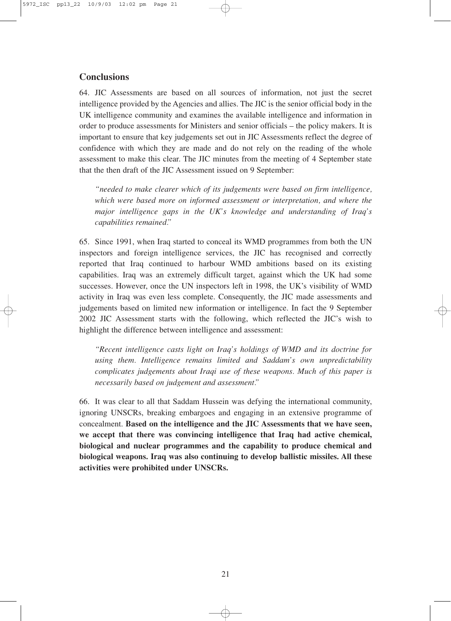#### **Conclusions**

64. JIC Assessments are based on all sources of information, not just the secret intelligence provided by the Agencies and allies. The JIC is the senior official body in the UK intelligence community and examines the available intelligence and information in order to produce assessments for Ministers and senior officials – the policy makers. It is important to ensure that key judgements set out in JIC Assessments reflect the degree of confidence with which they are made and do not rely on the reading of the whole assessment to make this clear. The JIC minutes from the meeting of 4 September state that the then draft of the JIC Assessment issued on 9 September:

*"needed to make clearer which of its judgements were based on firm intelligence, which were based more on informed assessment or interpretation, and where the major intelligence gaps in the UK's knowledge and understanding of Iraq's capabilities remained."*

65. Since 1991, when Iraq started to conceal its WMD programmes from both the UN inspectors and foreign intelligence services, the JIC has recognised and correctly reported that Iraq continued to harbour WMD ambitions based on its existing capabilities. Iraq was an extremely difficult target, against which the UK had some successes. However, once the UN inspectors left in 1998, the UK's visibility of WMD activity in Iraq was even less complete. Consequently, the JIC made assessments and judgements based on limited new information or intelligence. In fact the 9 September 2002 JIC Assessment starts with the following, which reflected the JIC's wish to highlight the difference between intelligence and assessment:

*"Recent intelligence casts light on Iraq's holdings of WMD and its doctrine for using them. Intelligence remains limited and Saddam's own unpredictability complicates judgements about Iraqi use of these weapons. Much of this paper is necessarily based on judgement and assessment."*

66. It was clear to all that Saddam Hussein was defying the international community, ignoring UNSCRs, breaking embargoes and engaging in an extensive programme of concealment. **Based on the intelligence and the JIC Assessments that we have seen, we accept that there was convincing intelligence that Iraq had active chemical, biological and nuclear programmes and the capability to produce chemical and biological weapons. Iraq was also continuing to develop ballistic missiles. All these activities were prohibited under UNSCRs.**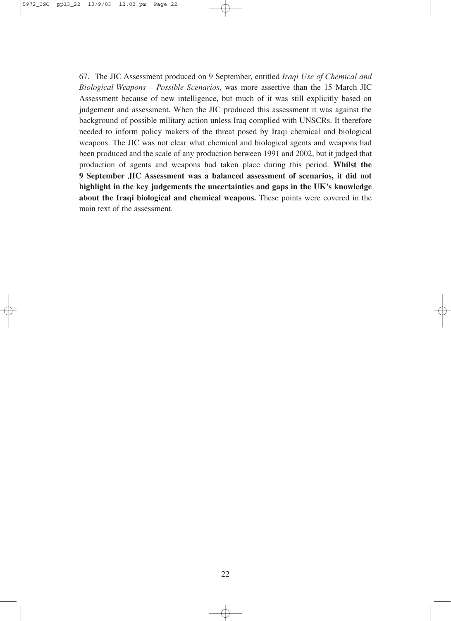67. The JIC Assessment produced on 9 September, entitled *Iraqi Use of Chemical and Biological Weapons – Possible Scenarios*, was more assertive than the 15 March JIC Assessment because of new intelligence, but much of it was still explicitly based on judgement and assessment. When the JIC produced this assessment it was against the background of possible military action unless Iraq complied with UNSCRs. It therefore needed to inform policy makers of the threat posed by Iraqi chemical and biological weapons. The JIC was not clear what chemical and biological agents and weapons had been produced and the scale of any production between 1991 and 2002, but it judged that production of agents and weapons had taken place during this period. **Whilst the 9 September JIC Assessment was a balanced assessment of scenarios, it did not highlight in the key judgements the uncertainties and gaps in the UK's knowledge about the Iraqi biological and chemical weapons.** These points were covered in the main text of the assessment.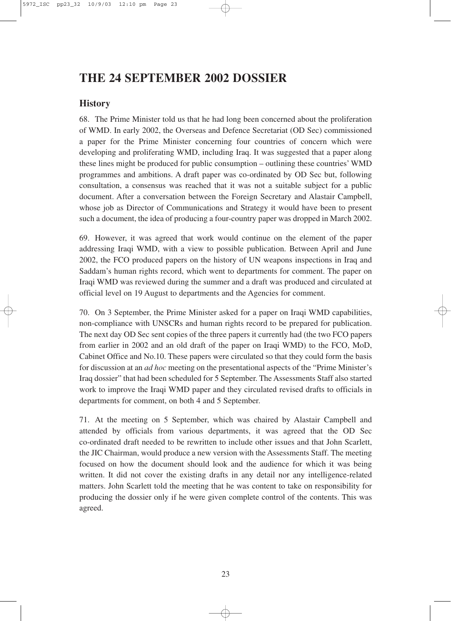## **THE 24 SEPTEMBER 2002 DOSSIER**

#### **History**

68. The Prime Minister told us that he had long been concerned about the proliferation of WMD. In early 2002, the Overseas and Defence Secretariat (OD Sec) commissioned a paper for the Prime Minister concerning four countries of concern which were developing and proliferating WMD, including Iraq. It was suggested that a paper along these lines might be produced for public consumption – outlining these countries' WMD programmes and ambitions. A draft paper was co-ordinated by OD Sec but, following consultation, a consensus was reached that it was not a suitable subject for a public document. After a conversation between the Foreign Secretary and Alastair Campbell, whose job as Director of Communications and Strategy it would have been to present such a document, the idea of producing a four-country paper was dropped in March 2002.

69. However, it was agreed that work would continue on the element of the paper addressing Iraqi WMD, with a view to possible publication. Between April and June 2002, the FCO produced papers on the history of UN weapons inspections in Iraq and Saddam's human rights record, which went to departments for comment. The paper on Iraqi WMD was reviewed during the summer and a draft was produced and circulated at official level on 19 August to departments and the Agencies for comment.

70. On 3 September, the Prime Minister asked for a paper on Iraqi WMD capabilities, non-compliance with UNSCRs and human rights record to be prepared for publication. The next day OD Sec sent copies of the three papers it currently had (the two FCO papers from earlier in 2002 and an old draft of the paper on Iraqi WMD) to the FCO, MoD, Cabinet Office and No.10. These papers were circulated so that they could form the basis for discussion at an *ad hoc* meeting on the presentational aspects of the "Prime Minister's Iraq dossier" that had been scheduled for 5 September. The Assessments Staff also started work to improve the Iraqi WMD paper and they circulated revised drafts to officials in departments for comment, on both 4 and 5 September.

71. At the meeting on 5 September, which was chaired by Alastair Campbell and attended by officials from various departments, it was agreed that the OD Sec co-ordinated draft needed to be rewritten to include other issues and that John Scarlett, the JIC Chairman, would produce a new version with the Assessments Staff. The meeting focused on how the document should look and the audience for which it was being written. It did not cover the existing drafts in any detail nor any intelligence-related matters. John Scarlett told the meeting that he was content to take on responsibility for producing the dossier only if he were given complete control of the contents. This was agreed.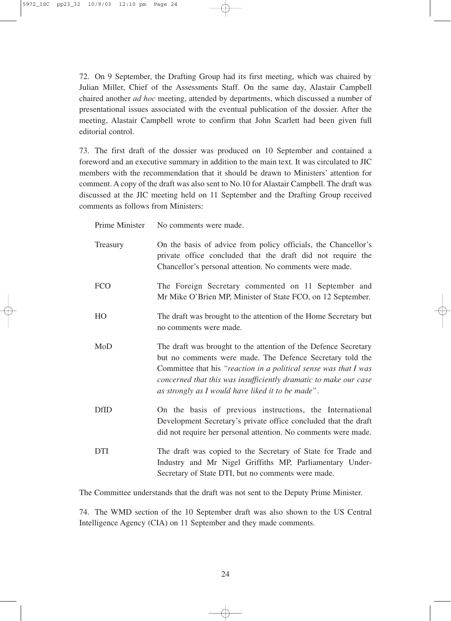72. On 9 September, the Drafting Group had its first meeting, which was chaired by Julian Miller, Chief of the Assessments Staff. On the same day, Alastair Campbell chaired another *ad hoc* meeting, attended by departments, which discussed a number of presentational issues associated with the eventual publication of the dossier. After the meeting, Alastair Campbell wrote to confirm that John Scarlett had been given full editorial control.

73. The first draft of the dossier was produced on 10 September and contained a foreword and an executive summary in addition to the main text. It was circulated to JIC members with the recommendation that it should be drawn to Ministers' attention for comment. A copy of the draft was also sent to No.10 for Alastair Campbell. The draft was discussed at the JIC meeting held on 11 September and the Drafting Group received comments as follows from Ministers:

Prime Minister No comments were made.

| Treasury    | On the basis of advice from policy officials, the Chancellor's<br>private office concluded that the draft did not require the<br>Chancellor's personal attention. No comments were made.                                                                                                                                  |
|-------------|---------------------------------------------------------------------------------------------------------------------------------------------------------------------------------------------------------------------------------------------------------------------------------------------------------------------------|
| <b>FCO</b>  | The Foreign Secretary commented on 11 September and<br>Mr Mike O'Brien MP, Minister of State FCO, on 12 September.                                                                                                                                                                                                        |
| HO          | The draft was brought to the attention of the Home Secretary but<br>no comments were made.                                                                                                                                                                                                                                |
| MoD         | The draft was brought to the attention of the Defence Secretary<br>but no comments were made. The Defence Secretary told the<br>Committee that his "reaction in a political sense was that I was<br>concerned that this was insufficiently dramatic to make our case<br>as strongly as I would have liked it to be made". |
| <b>DfID</b> | On the basis of previous instructions, the International<br>Development Secretary's private office concluded that the draft<br>did not require her personal attention. No comments were made.                                                                                                                             |
| <b>DTI</b>  | The draft was copied to the Secretary of State for Trade and<br>Industry and Mr Nigel Griffiths MP, Parliamentary Under-<br>Secretary of State DTI, but no comments were made.                                                                                                                                            |

The Committee understands that the draft was not sent to the Deputy Prime Minister.

74. The WMD section of the 10 September draft was also shown to the US Central Intelligence Agency (CIA) on 11 September and they made comments.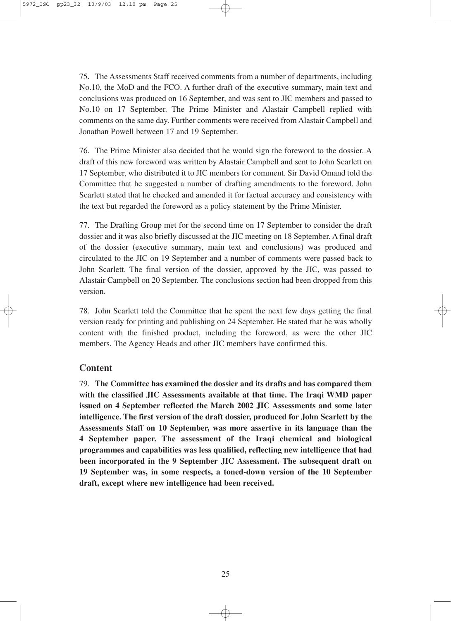75. The Assessments Staff received comments from a number of departments, including No.10, the MoD and the FCO. A further draft of the executive summary, main text and conclusions was produced on 16 September, and was sent to JIC members and passed to No.10 on 17 September. The Prime Minister and Alastair Campbell replied with comments on the same day. Further comments were received from Alastair Campbell and Jonathan Powell between 17 and 19 September.

76. The Prime Minister also decided that he would sign the foreword to the dossier. A draft of this new foreword was written by Alastair Campbell and sent to John Scarlett on 17 September, who distributed it to JIC members for comment. Sir David Omand told the Committee that he suggested a number of drafting amendments to the foreword. John Scarlett stated that he checked and amended it for factual accuracy and consistency with the text but regarded the foreword as a policy statement by the Prime Minister.

77. The Drafting Group met for the second time on 17 September to consider the draft dossier and it was also briefly discussed at the JIC meeting on 18 September. A final draft of the dossier (executive summary, main text and conclusions) was produced and circulated to the JIC on 19 September and a number of comments were passed back to John Scarlett. The final version of the dossier, approved by the JIC, was passed to Alastair Campbell on 20 September. The conclusions section had been dropped from this version.

78. John Scarlett told the Committee that he spent the next few days getting the final version ready for printing and publishing on 24 September. He stated that he was wholly content with the finished product, including the foreword, as were the other JIC members. The Agency Heads and other JIC members have confirmed this.

#### **Content**

79. **The Committee has examined the dossier and its drafts and has compared them with the classified JIC Assessments available at that time. The Iraqi WMD paper issued on 4 September reflected the March 2002 JIC Assessments and some later intelligence. The first version of the draft dossier, produced for John Scarlett by the Assessments Staff on 10 September, was more assertive in its language than the 4 September paper. The assessment of the Iraqi chemical and biological programmes and capabilities was less qualified, reflecting new intelligence that had been incorporated in the 9 September JIC Assessment. The subsequent draft on 19 September was, in some respects, a toned-down version of the 10 September draft, except where new intelligence had been received.**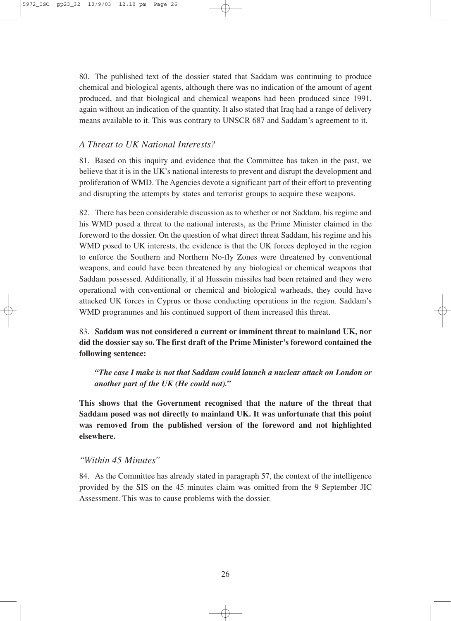80. The published text of the dossier stated that Saddam was continuing to produce chemical and biological agents, although there was no indication of the amount of agent produced, and that biological and chemical weapons had been produced since 1991, again without an indication of the quantity. It also stated that Iraq had a range of delivery means available to it. This was contrary to UNSCR 687 and Saddam's agreement to it.

#### *A Threat to UK National Interests?*

81. Based on this inquiry and evidence that the Committee has taken in the past, we believe that it is in the UK's national interests to prevent and disrupt the development and proliferation of WMD. The Agencies devote a significant part of their effort to preventing and disrupting the attempts by states and terrorist groups to acquire these weapons.

82. There has been considerable discussion as to whether or not Saddam, his regime and his WMD posed a threat to the national interests, as the Prime Minister claimed in the foreword to the dossier. On the question of what direct threat Saddam, his regime and his WMD posed to UK interests, the evidence is that the UK forces deployed in the region to enforce the Southern and Northern No-fly Zones were threatened by conventional weapons, and could have been threatened by any biological or chemical weapons that Saddam possessed. Additionally, if al Hussein missiles had been retained and they were operational with conventional or chemical and biological warheads, they could have attacked UK forces in Cyprus or those conducting operations in the region. Saddam's WMD programmes and his continued support of them increased this threat.

83. **Saddam was not considered a current or imminent threat to mainland UK, nor did the dossier say so. The first draft of the Prime Minister's foreword contained the following sentence:**

*"The case I make is not that Saddam could launch a nuclear attack on London or another part of the UK (He could not)."*

**This shows that the Government recognised that the nature of the threat that Saddam posed was not directly to mainland UK. It was unfortunate that this point was removed from the published version of the foreword and not highlighted elsewhere.**

#### *"Within 45 Minutes"*

84. As the Committee has already stated in paragraph 57, the context of the intelligence provided by the SIS on the 45 minutes claim was omitted from the 9 September JIC Assessment. This was to cause problems with the dossier.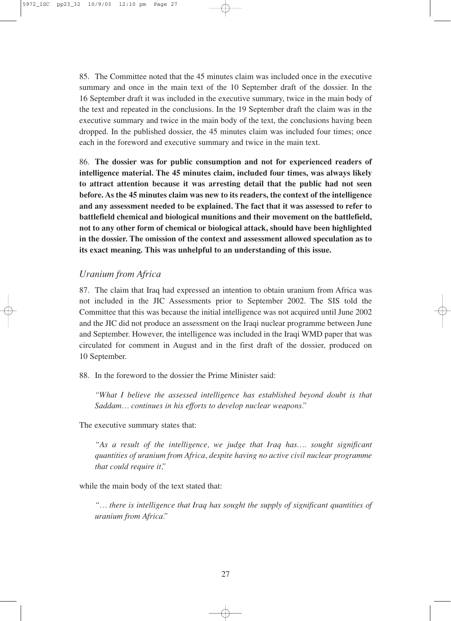85. The Committee noted that the 45 minutes claim was included once in the executive summary and once in the main text of the 10 September draft of the dossier. In the 16 September draft it was included in the executive summary, twice in the main body of the text and repeated in the conclusions. In the 19 September draft the claim was in the executive summary and twice in the main body of the text, the conclusions having been dropped. In the published dossier, the 45 minutes claim was included four times; once each in the foreword and executive summary and twice in the main text.

86. **The dossier was for public consumption and not for experienced readers of intelligence material. The 45 minutes claim, included four times, was always likely to attract attention because it was arresting detail that the public had not seen before. As the 45 minutes claim was new to its readers, the context of the intelligence and any assessment needed to be explained. The fact that it was assessed to refer to battlefield chemical and biological munitions and their movement on the battlefield, not to any other form of chemical or biological attack, should have been highlighted in the dossier. The omission of the context and assessment allowed speculation as to its exact meaning. This was unhelpful to an understanding of this issue.**

#### *Uranium from Africa*

87. The claim that Iraq had expressed an intention to obtain uranium from Africa was not included in the JIC Assessments prior to September 2002. The SIS told the Committee that this was because the initial intelligence was not acquired until June 2002 and the JIC did not produce an assessment on the Iraqi nuclear programme between June and September. However, the intelligence was included in the Iraqi WMD paper that was circulated for comment in August and in the first draft of the dossier, produced on 10 September.

88. In the foreword to the dossier the Prime Minister said:

*"What I believe the assessed intelligence has established beyond doubt is that Saddam… continues in his efforts to develop nuclear weapons."*

The executive summary states that:

*"As a result of the intelligence, we judge that Iraq has…. sought significant quantities of uranium from Africa, despite having no active civil nuclear programme that could require it,"*

while the main body of the text stated that:

*"… there is intelligence that Iraq has sought the supply of significant quantities of uranium from Africa."*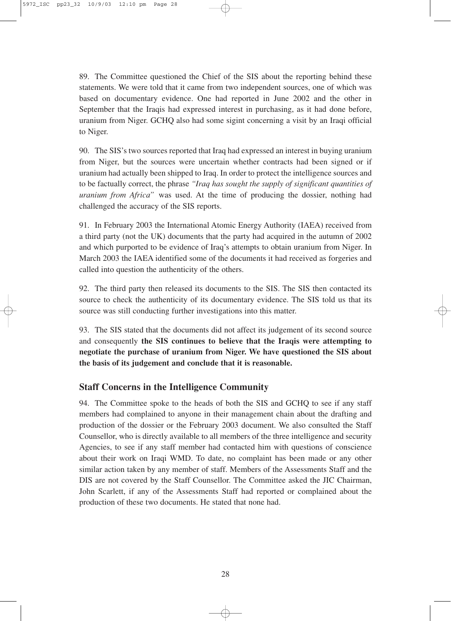89. The Committee questioned the Chief of the SIS about the reporting behind these statements. We were told that it came from two independent sources, one of which was based on documentary evidence. One had reported in June 2002 and the other in September that the Iraqis had expressed interest in purchasing, as it had done before, uranium from Niger. GCHQ also had some sigint concerning a visit by an Iraqi official to Niger.

90. The SIS's two sources reported that Iraq had expressed an interest in buying uranium from Niger, but the sources were uncertain whether contracts had been signed or if uranium had actually been shipped to Iraq. In order to protect the intelligence sources and to be factually correct, the phrase *"Iraq has sought the supply of significant quantities of uranium from Africa"* was used. At the time of producing the dossier, nothing had challenged the accuracy of the SIS reports.

91. In February 2003 the International Atomic Energy Authority (IAEA) received from a third party (not the UK) documents that the party had acquired in the autumn of 2002 and which purported to be evidence of Iraq's attempts to obtain uranium from Niger. In March 2003 the IAEA identified some of the documents it had received as forgeries and called into question the authenticity of the others.

92. The third party then released its documents to the SIS. The SIS then contacted its source to check the authenticity of its documentary evidence. The SIS told us that its source was still conducting further investigations into this matter.

93. The SIS stated that the documents did not affect its judgement of its second source and consequently **the SIS continues to believe that the Iraqis were attempting to negotiate the purchase of uranium from Niger. We have questioned the SIS about the basis of its judgement and conclude that it is reasonable.**

#### **Staff Concerns in the Intelligence Community**

94. The Committee spoke to the heads of both the SIS and GCHQ to see if any staff members had complained to anyone in their management chain about the drafting and production of the dossier or the February 2003 document. We also consulted the Staff Counsellor, who is directly available to all members of the three intelligence and security Agencies, to see if any staff member had contacted him with questions of conscience about their work on Iraqi WMD. To date, no complaint has been made or any other similar action taken by any member of staff. Members of the Assessments Staff and the DIS are not covered by the Staff Counsellor. The Committee asked the JIC Chairman, John Scarlett, if any of the Assessments Staff had reported or complained about the production of these two documents. He stated that none had.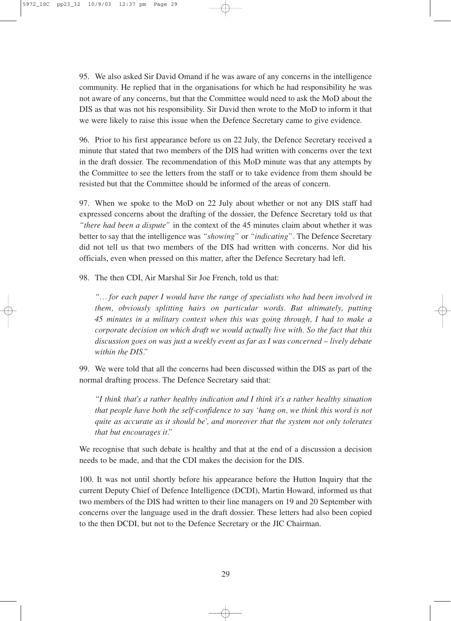95. We also asked Sir David Omand if he was aware of any concerns in the intelligence community. He replied that in the organisations for which he had responsibility he was not aware of any concerns, but that the Committee would need to ask the MoD about the DIS as that was not his responsibility. Sir David then wrote to the MoD to inform it that we were likely to raise this issue when the Defence Secretary came to give evidence.

96. Prior to his first appearance before us on 22 July, the Defence Secretary received a minute that stated that two members of the DIS had written with concerns over the text in the draft dossier. The recommendation of this MoD minute was that any attempts by the Committee to see the letters from the staff or to take evidence from them should be resisted but that the Committee should be informed of the areas of concern.

97. When we spoke to the MoD on 22 July about whether or not any DIS staff had expressed concerns about the drafting of the dossier, the Defence Secretary told us that *"there had been a dispute"* in the context of the 45 minutes claim about whether it was better to say that the intelligence was *"showing"* or *"indicating"*. The Defence Secretary did not tell us that two members of the DIS had written with concerns. Nor did his officials, even when pressed on this matter, after the Defence Secretary had left.

98. The then CDI, Air Marshal Sir Joe French, told us that:

*"… for each paper I would have the range of specialists who had been involved in them, obviously splitting hairs on particular words. But ultimately, putting 45 minutes in a military context when this was going through, I had to make a corporate decision on which draft we would actually live with. So the fact that this discussion goes on was just a weekly event as far as I was concerned – lively debate within the DIS."*

99. We were told that all the concerns had been discussed within the DIS as part of the normal drafting process. The Defence Secretary said that:

*"I think that's a rather healthy indication and I think it's a rather healthy situation that people have both the self-confidence to say 'hang on, we think this word is not quite as accurate as it should be', and moreover that the system not only tolerates that but encourages it."*

We recognise that such debate is healthy and that at the end of a discussion a decision needs to be made, and that the CDI makes the decision for the DIS.

100. It was not until shortly before his appearance before the Hutton Inquiry that the current Deputy Chief of Defence Intelligence (DCDI), Martin Howard, informed us that two members of the DIS had written to their line managers on 19 and 20 September with concerns over the language used in the draft dossier. These letters had also been copied to the then DCDI, but not to the Defence Secretary or the JIC Chairman.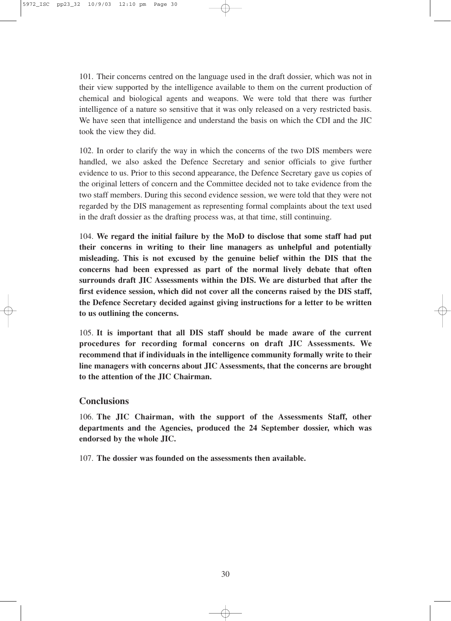101. Their concerns centred on the language used in the draft dossier, which was not in their view supported by the intelligence available to them on the current production of chemical and biological agents and weapons. We were told that there was further intelligence of a nature so sensitive that it was only released on a very restricted basis. We have seen that intelligence and understand the basis on which the CDI and the JIC took the view they did.

102. In order to clarify the way in which the concerns of the two DIS members were handled, we also asked the Defence Secretary and senior officials to give further evidence to us. Prior to this second appearance, the Defence Secretary gave us copies of the original letters of concern and the Committee decided not to take evidence from the two staff members. During this second evidence session, we were told that they were not regarded by the DIS management as representing formal complaints about the text used in the draft dossier as the drafting process was, at that time, still continuing.

104. **We regard the initial failure by the MoD to disclose that some staff had put their concerns in writing to their line managers as unhelpful and potentially misleading. This is not excused by the genuine belief within the DIS that the concerns had been expressed as part of the normal lively debate that often surrounds draft JIC Assessments within the DIS. We are disturbed that after the first evidence session, which did not cover all the concerns raised by the DIS staff, the Defence Secretary decided against giving instructions for a letter to be written to us outlining the concerns.** 

105. **It is important that all DIS staff should be made aware of the current procedures for recording formal concerns on draft JIC Assessments. We recommend that if individuals in the intelligence community formally write to their line managers with concerns about JIC Assessments, that the concerns are brought to the attention of the JIC Chairman.**

#### **Conclusions**

106. **The JIC Chairman, with the support of the Assessments Staff, other departments and the Agencies, produced the 24 September dossier, which was endorsed by the whole JIC.** 

107. **The dossier was founded on the assessments then available.**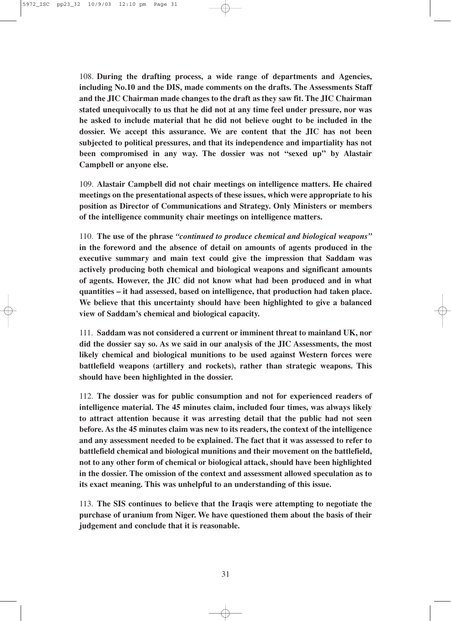108. **During the drafting process, a wide range of departments and Agencies, including No.10 and the DIS, made comments on the drafts. The Assessments Staff and the JIC Chairman made changes to the draft as they saw fit. The JIC Chairman stated unequivocally to us that he did not at any time feel under pressure, nor was he asked to include material that he did not believe ought to be included in the dossier. We accept this assurance. We are content that the JIC has not been subjected to political pressures, and that its independence and impartiality has not been compromised in any way. The dossier was not "sexed up" by Alastair Campbell or anyone else.**

109. **Alastair Campbell did not chair meetings on intelligence matters. He chaired meetings on the presentational aspects of these issues, which were appropriate to his position as Director of Communications and Strategy. Only Ministers or members of the intelligence community chair meetings on intelligence matters.** 

110. **The use of the phrase** *"continued to produce chemical and biological weapons"* **in the foreword and the absence of detail on amounts of agents produced in the executive summary and main text could give the impression that Saddam was actively producing both chemical and biological weapons and significant amounts of agents. However, the JIC did not know what had been produced and in what quantities – it had assessed, based on intelligence, that production had taken place. We believe that this uncertainty should have been highlighted to give a balanced view of Saddam's chemical and biological capacity.** 

111. **Saddam was not considered a current or imminent threat to mainland UK, nor did the dossier say so. As we said in our analysis of the JIC Assessments, the most likely chemical and biological munitions to be used against Western forces were battlefield weapons (artillery and rockets), rather than strategic weapons. This should have been highlighted in the dossier.** 

112. **The dossier was for public consumption and not for experienced readers of intelligence material. The 45 minutes claim, included four times, was always likely to attract attention because it was arresting detail that the public had not seen before. As the 45 minutes claim was new to its readers, the context of the intelligence and any assessment needed to be explained. The fact that it was assessed to refer to battlefield chemical and biological munitions and their movement on the battlefield, not to any other form of chemical or biological attack, should have been highlighted in the dossier. The omission of the context and assessment allowed speculation as to its exact meaning. This was unhelpful to an understanding of this issue.**

113. **The SIS continues to believe that the Iraqis were attempting to negotiate the purchase of uranium from Niger. We have questioned them about the basis of their judgement and conclude that it is reasonable.**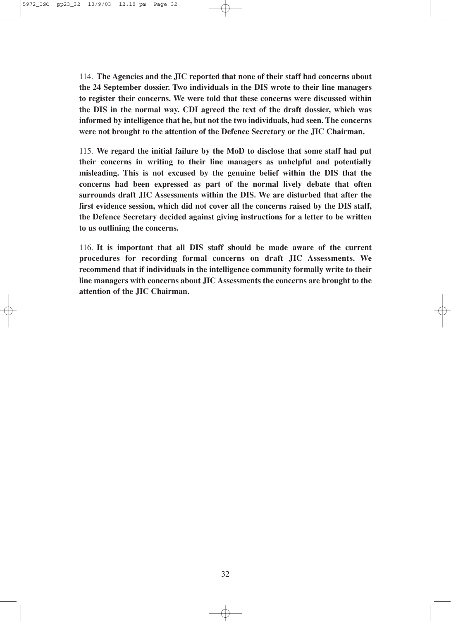114. **The Agencies and the JIC reported that none of their staff had concerns about the 24 September dossier. Two individuals in the DIS wrote to their line managers to register their concerns. We were told that these concerns were discussed within the DIS in the normal way. CDI agreed the text of the draft dossier, which was informed by intelligence that he, but not the two individuals, had seen. The concerns were not brought to the attention of the Defence Secretary or the JIC Chairman.**

115. **We regard the initial failure by the MoD to disclose that some staff had put their concerns in writing to their line managers as unhelpful and potentially misleading. This is not excused by the genuine belief within the DIS that the concerns had been expressed as part of the normal lively debate that often surrounds draft JIC Assessments within the DIS. We are disturbed that after the first evidence session, which did not cover all the concerns raised by the DIS staff, the Defence Secretary decided against giving instructions for a letter to be written to us outlining the concerns.**

116. **It is important that all DIS staff should be made aware of the current procedures for recording formal concerns on draft JIC Assessments. We recommend that if individuals in the intelligence community formally write to their line managers with concerns about JIC Assessments the concerns are brought to the attention of the JIC Chairman.**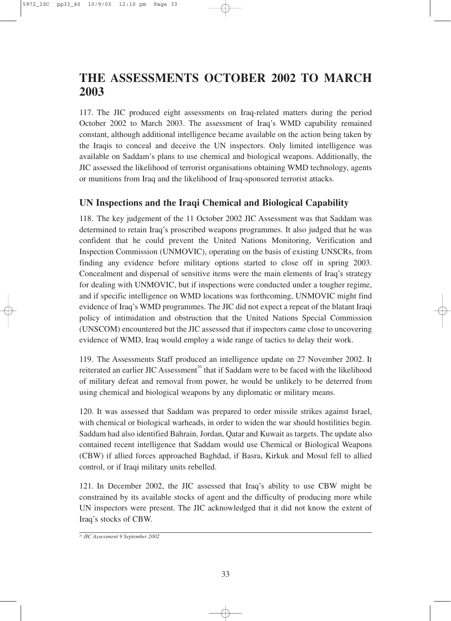## **THE ASSESSMENTS OCTOBER 2002 TO MARCH 2003**

117. The JIC produced eight assessments on Iraq-related matters during the period October 2002 to March 2003. The assessment of Iraq's WMD capability remained constant, although additional intelligence became available on the action being taken by the Iraqis to conceal and deceive the UN inspectors. Only limited intelligence was available on Saddam's plans to use chemical and biological weapons. Additionally, the JIC assessed the likelihood of terrorist organisations obtaining WMD technology, agents or munitions from Iraq and the likelihood of Iraq-sponsored terrorist attacks.

#### **UN Inspections and the Iraqi Chemical and Biological Capability**

118. The key judgement of the 11 October 2002 JIC Assessment was that Saddam was determined to retain Iraq's proscribed weapons programmes. It also judged that he was confident that he could prevent the United Nations Monitoring, Verification and Inspection Commission (UNMOVIC), operating on the basis of existing UNSCRs, from finding any evidence before military options started to close off in spring 2003. Concealment and dispersal of sensitive items were the main elements of Iraq's strategy for dealing with UNMOVIC, but if inspections were conducted under a tougher regime, and if specific intelligence on WMD locations was forthcoming, UNMOVIC might find evidence of Iraq's WMD programmes. The JIC did not expect a repeat of the blatant Iraqi policy of intimidation and obstruction that the United Nations Special Commission (UNSCOM) encountered but the JIC assessed that if inspectors came close to uncovering evidence of WMD, Iraq would employ a wide range of tactics to delay their work.

119. The Assessments Staff produced an intelligence update on 27 November 2002. It reiterated an earlier JIC Assessment<sup>20</sup> that if Saddam were to be faced with the likelihood of military defeat and removal from power, he would be unlikely to be deterred from using chemical and biological weapons by any diplomatic or military means.

120. It was assessed that Saddam was prepared to order missile strikes against Israel, with chemical or biological warheads, in order to widen the war should hostilities begin. Saddam had also identified Bahrain, Jordan, Qatar and Kuwait as targets. The update also contained recent intelligence that Saddam would use Chemical or Biological Weapons (CBW) if allied forces approached Baghdad, if Basra, Kirkuk and Mosul fell to allied control, or if Iraqi military units rebelled.

121. In December 2002, the JIC assessed that Iraq's ability to use CBW might be constrained by its available stocks of agent and the difficulty of producing more while UN inspectors were present. The JIC acknowledged that it did not know the extent of Iraq's stocks of CBW.

*<sup>20</sup> JIC Assessment 9 September 2002*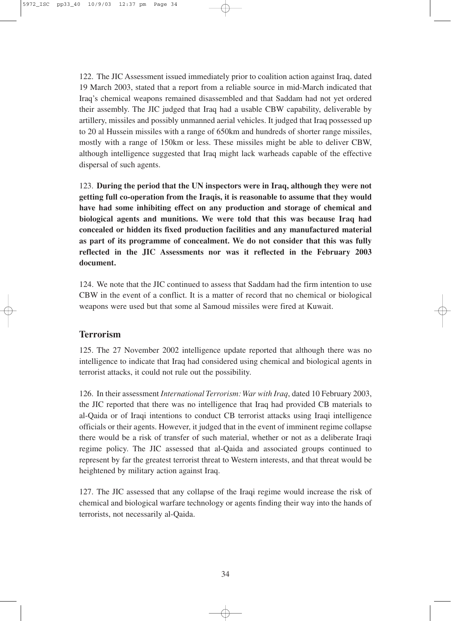122. The JIC Assessment issued immediately prior to coalition action against Iraq, dated 19 March 2003, stated that a report from a reliable source in mid-March indicated that Iraq's chemical weapons remained disassembled and that Saddam had not yet ordered their assembly. The JIC judged that Iraq had a usable CBW capability, deliverable by artillery, missiles and possibly unmanned aerial vehicles. It judged that Iraq possessed up to 20 al Hussein missiles with a range of 650km and hundreds of shorter range missiles, mostly with a range of 150km or less. These missiles might be able to deliver CBW, although intelligence suggested that Iraq might lack warheads capable of the effective dispersal of such agents.

123. **During the period that the UN inspectors were in Iraq, although they were not getting full co-operation from the Iraqis, it is reasonable to assume that they would have had some inhibiting effect on any production and storage of chemical and biological agents and munitions. We were told that this was because Iraq had concealed or hidden its fixed production facilities and any manufactured material as part of its programme of concealment. We do not consider that this was fully reflected in the JIC Assessments nor was it reflected in the February 2003 document.** 

124. We note that the JIC continued to assess that Saddam had the firm intention to use CBW in the event of a conflict. It is a matter of record that no chemical or biological weapons were used but that some al Samoud missiles were fired at Kuwait.

#### **Terrorism**

125. The 27 November 2002 intelligence update reported that although there was no intelligence to indicate that Iraq had considered using chemical and biological agents in terrorist attacks, it could not rule out the possibility.

126. In their assessment *International Terrorism: War with Iraq*, dated 10 February 2003, the JIC reported that there was no intelligence that Iraq had provided CB materials to al-Qaida or of Iraqi intentions to conduct CB terrorist attacks using Iraqi intelligence officials or their agents. However, it judged that in the event of imminent regime collapse there would be a risk of transfer of such material, whether or not as a deliberate Iraqi regime policy. The JIC assessed that al-Qaida and associated groups continued to represent by far the greatest terrorist threat to Western interests, and that threat would be heightened by military action against Iraq.

127. The JIC assessed that any collapse of the Iraqi regime would increase the risk of chemical and biological warfare technology or agents finding their way into the hands of terrorists, not necessarily al-Qaida.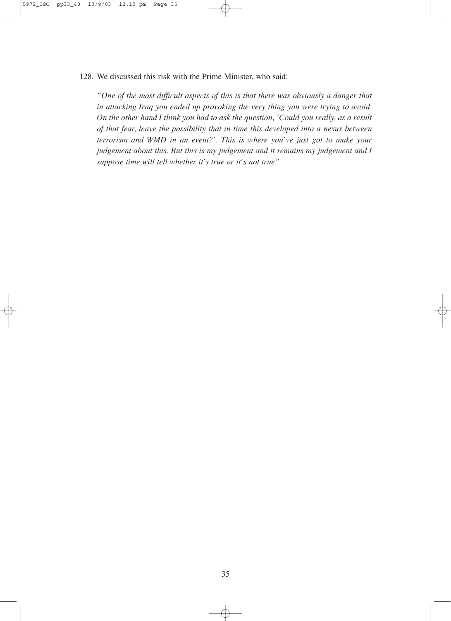128. We discussed this risk with the Prime Minister, who said:

*"One of the most difficult aspects of this is that there was obviously a danger that in attacking Iraq you ended up provoking the very thing you were trying to avoid. On the other hand I think you had to ask the question, 'Could you really, as a result of that fear, leave the possibility that in time this developed into a nexus between terrorism and WMD in an event?'. This is where you've just got to make your judgement about this. But this is my judgement and it remains my judgement and I suppose time will tell whether it's true or it's not true."*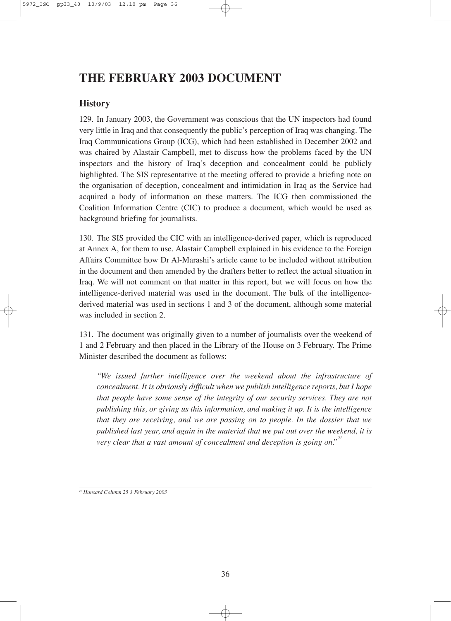## **THE FEBRUARY 2003 DOCUMENT**

#### **History**

129. In January 2003, the Government was conscious that the UN inspectors had found very little in Iraq and that consequently the public's perception of Iraq was changing. The Iraq Communications Group (ICG), which had been established in December 2002 and was chaired by Alastair Campbell, met to discuss how the problems faced by the UN inspectors and the history of Iraq's deception and concealment could be publicly highlighted. The SIS representative at the meeting offered to provide a briefing note on the organisation of deception, concealment and intimidation in Iraq as the Service had acquired a body of information on these matters. The ICG then commissioned the Coalition Information Centre (CIC) to produce a document, which would be used as background briefing for journalists.

130. The SIS provided the CIC with an intelligence-derived paper, which is reproduced at Annex A, for them to use. Alastair Campbell explained in his evidence to the Foreign Affairs Committee how Dr Al-Marashi's article came to be included without attribution in the document and then amended by the drafters better to reflect the actual situation in Iraq. We will not comment on that matter in this report, but we will focus on how the intelligence-derived material was used in the document. The bulk of the intelligencederived material was used in sections 1 and 3 of the document, although some material was included in section 2.

131. The document was originally given to a number of journalists over the weekend of 1 and 2 February and then placed in the Library of the House on 3 February. The Prime Minister described the document as follows:

*"We issued further intelligence over the weekend about the infrastructure of concealment. It is obviously difficult when we publish intelligence reports, but I hope that people have some sense of the integrity of our security services. They are not publishing this, or giving us this information, and making it up. It is the intelligence that they are receiving, and we are passing on to people. In the dossier that we published last year, and again in the material that we put out over the weekend, it is very clear that a vast amount of concealment and deception is going on." 21*

*<sup>21</sup> Hansard Column 25 3 February 2003*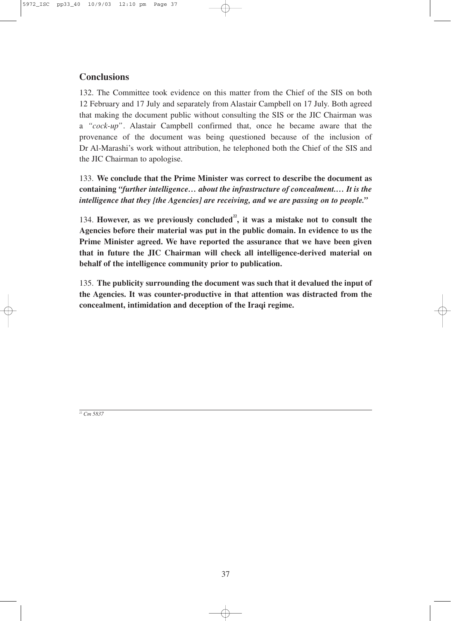#### **Conclusions**

132. The Committee took evidence on this matter from the Chief of the SIS on both 12 February and 17 July and separately from Alastair Campbell on 17 July. Both agreed that making the document public without consulting the SIS or the JIC Chairman was a *"cock-up"*. Alastair Campbell confirmed that, once he became aware that the provenance of the document was being questioned because of the inclusion of Dr Al-Marashi's work without attribution, he telephoned both the Chief of the SIS and the JIC Chairman to apologise.

133. **We conclude that the Prime Minister was correct to describe the document as containing** *"further intelligence… about the infrastructure of concealment.… It is the intelligence that they [the Agencies] are receiving, and we are passing on to people."*

134. **However, as we previously concluded22, it was a mistake not to consult the Agencies before their material was put in the public domain. In evidence to us the Prime Minister agreed. We have reported the assurance that we have been given that in future the JIC Chairman will check all intelligence-derived material on behalf of the intelligence community prior to publication.**

135. **The publicity surrounding the document was such that it devalued the input of the Agencies. It was counter-productive in that attention was distracted from the concealment, intimidation and deception of the Iraqi regime.**

*<sup>22</sup> Cm 5837*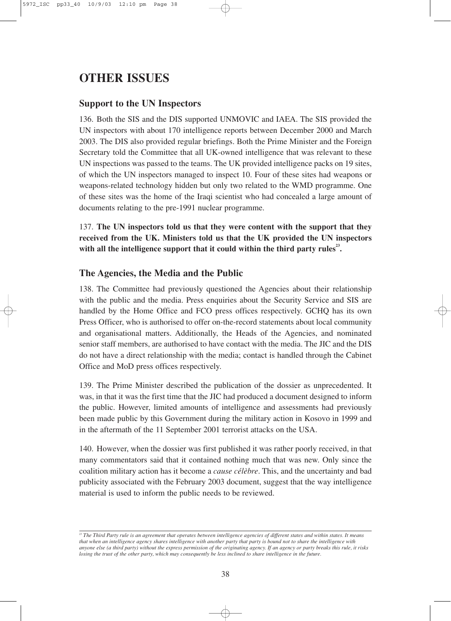## **OTHER ISSUES**

#### **Support to the UN Inspectors**

136. Both the SIS and the DIS supported UNMOVIC and IAEA. The SIS provided the UN inspectors with about 170 intelligence reports between December 2000 and March 2003. The DIS also provided regular briefings. Both the Prime Minister and the Foreign Secretary told the Committee that all UK-owned intelligence that was relevant to these UN inspections was passed to the teams. The UK provided intelligence packs on 19 sites, of which the UN inspectors managed to inspect 10. Four of these sites had weapons or weapons-related technology hidden but only two related to the WMD programme. One of these sites was the home of the Iraqi scientist who had concealed a large amount of documents relating to the pre-1991 nuclear programme.

137. **The UN inspectors told us that they were content with the support that they received from the UK. Ministers told us that the UK provided the UN inspectors** with all the intelligence support that it could within the third party rules<sup>23</sup>.

#### **The Agencies, the Media and the Public**

138. The Committee had previously questioned the Agencies about their relationship with the public and the media. Press enquiries about the Security Service and SIS are handled by the Home Office and FCO press offices respectively. GCHQ has its own Press Officer, who is authorised to offer on-the-record statements about local community and organisational matters. Additionally, the Heads of the Agencies, and nominated senior staff members, are authorised to have contact with the media. The JIC and the DIS do not have a direct relationship with the media; contact is handled through the Cabinet Office and MoD press offices respectively.

139. The Prime Minister described the publication of the dossier as unprecedented. It was, in that it was the first time that the JIC had produced a document designed to inform the public. However, limited amounts of intelligence and assessments had previously been made public by this Government during the military action in Kosovo in 1999 and in the aftermath of the 11 September 2001 terrorist attacks on the USA.

140. However, when the dossier was first published it was rather poorly received, in that many commentators said that it contained nothing much that was new. Only since the coalition military action has it become a *cause célèbre*. This, and the uncertainty and bad publicity associated with the February 2003 document, suggest that the way intelligence material is used to inform the public needs to be reviewed.

*<sup>23</sup> The Third Party rule is an agreement that operates between intelligence agencies of different states and within states. It means that when an intelligence agency shares intelligence with another party that party is bound not to share the intelligence with anyone else (a third party) without the express permission of the originating agency. If an agency or party breaks this rule, it risks losing the trust of the other party, which may consequently be less inclined to share intelligence in the future.*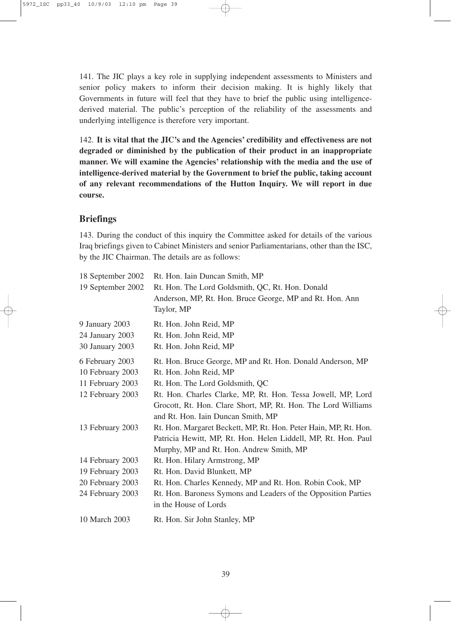141. The JIC plays a key role in supplying independent assessments to Ministers and senior policy makers to inform their decision making. It is highly likely that Governments in future will feel that they have to brief the public using intelligencederived material. The public's perception of the reliability of the assessments and underlying intelligence is therefore very important.

142. **It is vital that the JIC's and the Agencies' credibility and effectiveness are not degraded or diminished by the publication of their product in an inappropriate manner. We will examine the Agencies' relationship with the media and the use of intelligence-derived material by the Government to brief the public, taking account of any relevant recommendations of the Hutton Inquiry. We will report in due course.**

#### **Briefings**

143. During the conduct of this inquiry the Committee asked for details of the various Iraq briefings given to Cabinet Ministers and senior Parliamentarians, other than the ISC, by the JIC Chairman. The details are as follows:

| 18 September 2002 | Rt. Hon. Iain Duncan Smith, MP                                   |
|-------------------|------------------------------------------------------------------|
| 19 September 2002 | Rt. Hon. The Lord Goldsmith, QC, Rt. Hon. Donald                 |
|                   | Anderson, MP, Rt. Hon. Bruce George, MP and Rt. Hon. Ann         |
|                   | Taylor, MP                                                       |
| 9 January 2003    | Rt. Hon. John Reid, MP                                           |
| 24 January 2003   | Rt. Hon. John Reid, MP                                           |
| 30 January 2003   | Rt. Hon. John Reid, MP                                           |
| 6 February 2003   | Rt. Hon. Bruce George, MP and Rt. Hon. Donald Anderson, MP       |
| 10 February 2003  | Rt. Hon. John Reid, MP                                           |
| 11 February 2003  | Rt. Hon. The Lord Goldsmith, QC                                  |
| 12 February 2003  | Rt. Hon. Charles Clarke, MP, Rt. Hon. Tessa Jowell, MP, Lord     |
|                   | Grocott, Rt. Hon. Clare Short, MP, Rt. Hon. The Lord Williams    |
|                   | and Rt. Hon. Iain Duncan Smith, MP                               |
| 13 February 2003  | Rt. Hon. Margaret Beckett, MP, Rt. Hon. Peter Hain, MP, Rt. Hon. |
|                   | Patricia Hewitt, MP, Rt. Hon. Helen Liddell, MP, Rt. Hon. Paul   |
|                   | Murphy, MP and Rt. Hon. Andrew Smith, MP                         |
| 14 February 2003  | Rt. Hon. Hilary Armstrong, MP                                    |
| 19 February 2003  | Rt. Hon. David Blunkett, MP                                      |
| 20 February 2003  | Rt. Hon. Charles Kennedy, MP and Rt. Hon. Robin Cook, MP         |
| 24 February 2003  | Rt. Hon. Baroness Symons and Leaders of the Opposition Parties   |
|                   | in the House of Lords                                            |
| 10 March 2003     | Rt. Hon. Sir John Stanley, MP                                    |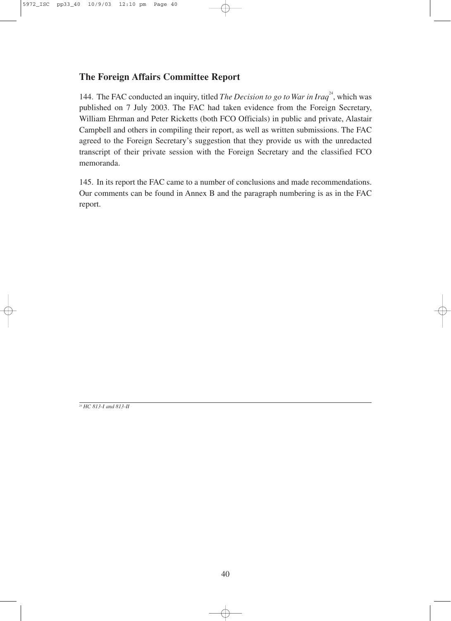#### **The Foreign Affairs Committee Report**

144. The FAC conducted an inquiry, titled *The Decision to go to War in Iraq*<sup>24</sup>, which was published on 7 July 2003. The FAC had taken evidence from the Foreign Secretary, William Ehrman and Peter Ricketts (both FCO Officials) in public and private, Alastair Campbell and others in compiling their report, as well as written submissions. The FAC agreed to the Foreign Secretary's suggestion that they provide us with the unredacted transcript of their private session with the Foreign Secretary and the classified FCO memoranda.

145. In its report the FAC came to a number of conclusions and made recommendations. Our comments can be found in Annex B and the paragraph numbering is as in the FAC report.

*<sup>24</sup> HC 813-I and 813-II*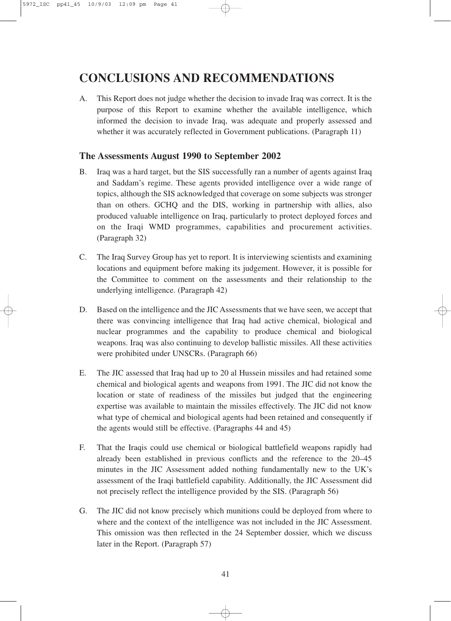### **CONCLUSIONS AND RECOMMENDATIONS**

A. This Report does not judge whether the decision to invade Iraq was correct. It is the purpose of this Report to examine whether the available intelligence, which informed the decision to invade Iraq, was adequate and properly assessed and whether it was accurately reflected in Government publications. (Paragraph 11)

#### **The Assessments August 1990 to September 2002**

- B. Iraq was a hard target, but the SIS successfully ran a number of agents against Iraq and Saddam's regime. These agents provided intelligence over a wide range of topics, although the SIS acknowledged that coverage on some subjects was stronger than on others. GCHQ and the DIS, working in partnership with allies, also produced valuable intelligence on Iraq, particularly to protect deployed forces and on the Iraqi WMD programmes, capabilities and procurement activities. (Paragraph 32)
- C. The Iraq Survey Group has yet to report. It is interviewing scientists and examining locations and equipment before making its judgement. However, it is possible for the Committee to comment on the assessments and their relationship to the underlying intelligence. (Paragraph 42)
- D. Based on the intelligence and the JIC Assessments that we have seen, we accept that there was convincing intelligence that Iraq had active chemical, biological and nuclear programmes and the capability to produce chemical and biological weapons. Iraq was also continuing to develop ballistic missiles. All these activities were prohibited under UNSCRs. (Paragraph 66)
- E. The JIC assessed that Iraq had up to 20 al Hussein missiles and had retained some chemical and biological agents and weapons from 1991. The JIC did not know the location or state of readiness of the missiles but judged that the engineering expertise was available to maintain the missiles effectively. The JIC did not know what type of chemical and biological agents had been retained and consequently if the agents would still be effective. (Paragraphs 44 and 45)
- F. That the Iraqis could use chemical or biological battlefield weapons rapidly had already been established in previous conflicts and the reference to the 20–45 minutes in the JIC Assessment added nothing fundamentally new to the UK's assessment of the Iraqi battlefield capability. Additionally, the JIC Assessment did not precisely reflect the intelligence provided by the SIS. (Paragraph 56)
- G. The JIC did not know precisely which munitions could be deployed from where to where and the context of the intelligence was not included in the JIC Assessment. This omission was then reflected in the 24 September dossier, which we discuss later in the Report. (Paragraph 57)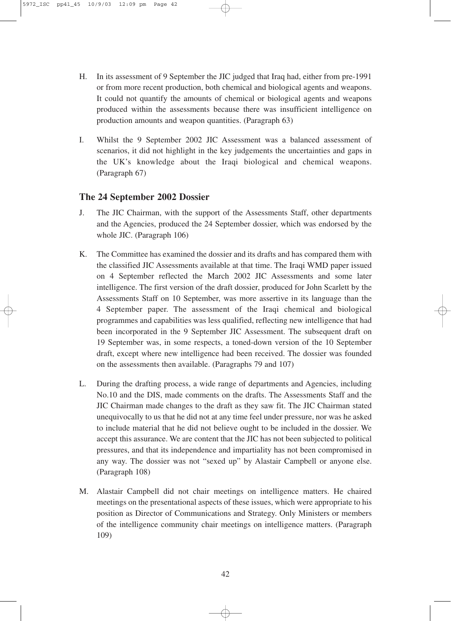- H. In its assessment of 9 September the JIC judged that Iraq had, either from pre-1991 or from more recent production, both chemical and biological agents and weapons. It could not quantify the amounts of chemical or biological agents and weapons produced within the assessments because there was insufficient intelligence on production amounts and weapon quantities. (Paragraph 63)
- I. Whilst the 9 September 2002 JIC Assessment was a balanced assessment of scenarios, it did not highlight in the key judgements the uncertainties and gaps in the UK's knowledge about the Iraqi biological and chemical weapons. (Paragraph 67)

#### **The 24 September 2002 Dossier**

- J. The JIC Chairman, with the support of the Assessments Staff, other departments and the Agencies, produced the 24 September dossier, which was endorsed by the whole JIC. (Paragraph 106)
- K. The Committee has examined the dossier and its drafts and has compared them with the classified JIC Assessments available at that time. The Iraqi WMD paper issued on 4 September reflected the March 2002 JIC Assessments and some later intelligence. The first version of the draft dossier, produced for John Scarlett by the Assessments Staff on 10 September, was more assertive in its language than the 4 September paper. The assessment of the Iraqi chemical and biological programmes and capabilities was less qualified, reflecting new intelligence that had been incorporated in the 9 September JIC Assessment. The subsequent draft on 19 September was, in some respects, a toned-down version of the 10 September draft, except where new intelligence had been received. The dossier was founded on the assessments then available. (Paragraphs 79 and 107)
- L. During the drafting process, a wide range of departments and Agencies, including No.10 and the DIS, made comments on the drafts. The Assessments Staff and the JIC Chairman made changes to the draft as they saw fit. The JIC Chairman stated unequivocally to us that he did not at any time feel under pressure, nor was he asked to include material that he did not believe ought to be included in the dossier. We accept this assurance. We are content that the JIC has not been subjected to political pressures, and that its independence and impartiality has not been compromised in any way. The dossier was not "sexed up" by Alastair Campbell or anyone else. (Paragraph 108)
- M. Alastair Campbell did not chair meetings on intelligence matters. He chaired meetings on the presentational aspects of these issues, which were appropriate to his position as Director of Communications and Strategy. Only Ministers or members of the intelligence community chair meetings on intelligence matters. (Paragraph 109)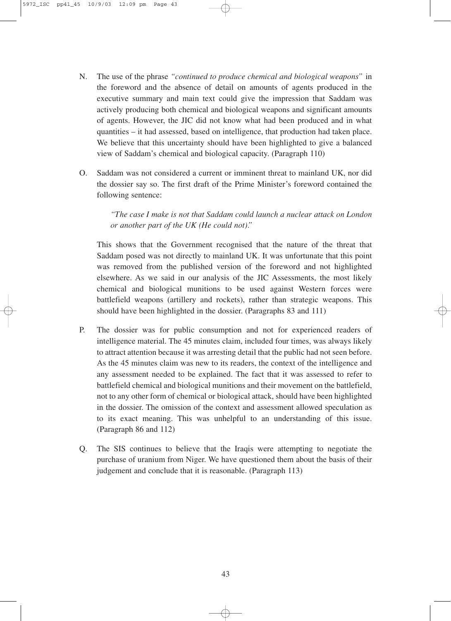- N. The use of the phrase *"continued to produce chemical and biological weapons"* in the foreword and the absence of detail on amounts of agents produced in the executive summary and main text could give the impression that Saddam was actively producing both chemical and biological weapons and significant amounts of agents. However, the JIC did not know what had been produced and in what quantities – it had assessed, based on intelligence, that production had taken place. We believe that this uncertainty should have been highlighted to give a balanced view of Saddam's chemical and biological capacity. (Paragraph 110)
- O. Saddam was not considered a current or imminent threat to mainland UK, nor did the dossier say so. The first draft of the Prime Minister's foreword contained the following sentence:

*"The case I make is not that Saddam could launch a nuclear attack on London or another part of the UK (He could not)."*

This shows that the Government recognised that the nature of the threat that Saddam posed was not directly to mainland UK. It was unfortunate that this point was removed from the published version of the foreword and not highlighted elsewhere. As we said in our analysis of the JIC Assessments, the most likely chemical and biological munitions to be used against Western forces were battlefield weapons (artillery and rockets), rather than strategic weapons. This should have been highlighted in the dossier. (Paragraphs 83 and 111)

- P. The dossier was for public consumption and not for experienced readers of intelligence material. The 45 minutes claim, included four times, was always likely to attract attention because it was arresting detail that the public had not seen before. As the 45 minutes claim was new to its readers, the context of the intelligence and any assessment needed to be explained. The fact that it was assessed to refer to battlefield chemical and biological munitions and their movement on the battlefield, not to any other form of chemical or biological attack, should have been highlighted in the dossier. The omission of the context and assessment allowed speculation as to its exact meaning. This was unhelpful to an understanding of this issue. (Paragraph 86 and 112)
- Q. The SIS continues to believe that the Iraqis were attempting to negotiate the purchase of uranium from Niger. We have questioned them about the basis of their judgement and conclude that it is reasonable. (Paragraph 113)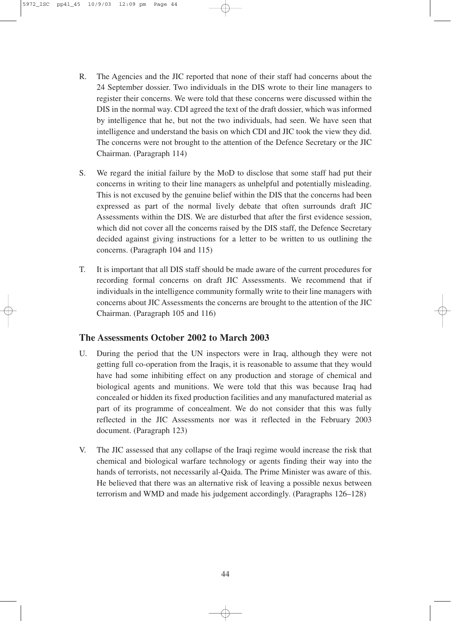- R. The Agencies and the JIC reported that none of their staff had concerns about the 24 September dossier. Two individuals in the DIS wrote to their line managers to register their concerns. We were told that these concerns were discussed within the DIS in the normal way. CDI agreed the text of the draft dossier, which was informed by intelligence that he, but not the two individuals, had seen. We have seen that intelligence and understand the basis on which CDI and JIC took the view they did. The concerns were not brought to the attention of the Defence Secretary or the JIC Chairman. (Paragraph 114)
- S. We regard the initial failure by the MoD to disclose that some staff had put their concerns in writing to their line managers as unhelpful and potentially misleading. This is not excused by the genuine belief within the DIS that the concerns had been expressed as part of the normal lively debate that often surrounds draft JIC Assessments within the DIS. We are disturbed that after the first evidence session, which did not cover all the concerns raised by the DIS staff, the Defence Secretary decided against giving instructions for a letter to be written to us outlining the concerns. (Paragraph 104 and 115)
- T. It is important that all DIS staff should be made aware of the current procedures for recording formal concerns on draft JIC Assessments. We recommend that if individuals in the intelligence community formally write to their line managers with concerns about JIC Assessments the concerns are brought to the attention of the JIC Chairman. (Paragraph 105 and 116)

#### **The Assessments October 2002 to March 2003**

- U. During the period that the UN inspectors were in Iraq, although they were not getting full co-operation from the Iraqis, it is reasonable to assume that they would have had some inhibiting effect on any production and storage of chemical and biological agents and munitions. We were told that this was because Iraq had concealed or hidden its fixed production facilities and any manufactured material as part of its programme of concealment. We do not consider that this was fully reflected in the JIC Assessments nor was it reflected in the February 2003 document. (Paragraph 123)
- V. The JIC assessed that any collapse of the Iraqi regime would increase the risk that chemical and biological warfare technology or agents finding their way into the hands of terrorists, not necessarily al-Qaida. The Prime Minister was aware of this. He believed that there was an alternative risk of leaving a possible nexus between terrorism and WMD and made his judgement accordingly. (Paragraphs 126–128)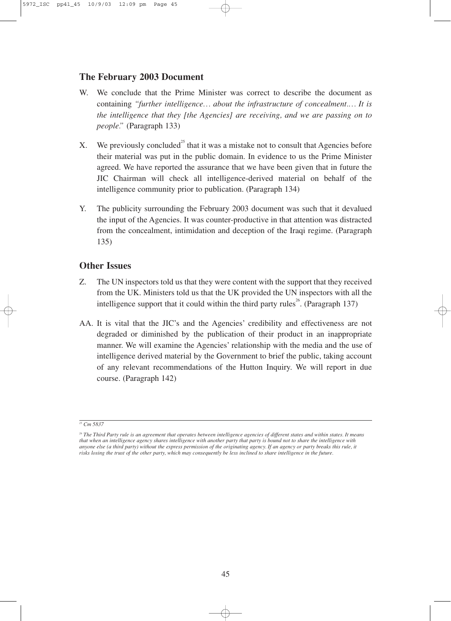#### **The February 2003 Document**

- W. We conclude that the Prime Minister was correct to describe the document as containing *"further intelligence… about the infrastructure of concealment.… It is the intelligence that they [the Agencies] are receiving, and we are passing on to people."* (Paragraph 133)
- X. We previously concluded<sup>25</sup> that it was a mistake not to consult that Agencies before their material was put in the public domain. In evidence to us the Prime Minister agreed. We have reported the assurance that we have been given that in future the JIC Chairman will check all intelligence-derived material on behalf of the intelligence community prior to publication. (Paragraph 134)
- Y. The publicity surrounding the February 2003 document was such that it devalued the input of the Agencies. It was counter-productive in that attention was distracted from the concealment, intimidation and deception of the Iraqi regime. (Paragraph 135)

#### **Other Issues**

- Z. The UN inspectors told us that they were content with the support that they received from the UK. Ministers told us that the UK provided the UN inspectors with all the intelligence support that it could within the third party rules<sup>26</sup>. (Paragraph 137)
- AA. It is vital that the JIC's and the Agencies' credibility and effectiveness are not degraded or diminished by the publication of their product in an inappropriate manner. We will examine the Agencies' relationship with the media and the use of intelligence derived material by the Government to brief the public, taking account of any relevant recommendations of the Hutton Inquiry. We will report in due course. (Paragraph 142)

*<sup>25</sup> Cm 5837*

*<sup>26</sup> The Third Party rule is an agreement that operates between intelligence agencies of different states and within states. It means that when an intelligence agency shares intelligence with another party that party is bound not to share the intelligence with anyone else (a third party) without the express permission of the originating agency. If an agency or party breaks this rule, it risks losing the trust of the other party, which may consequently be less inclined to share intelligence in the future.*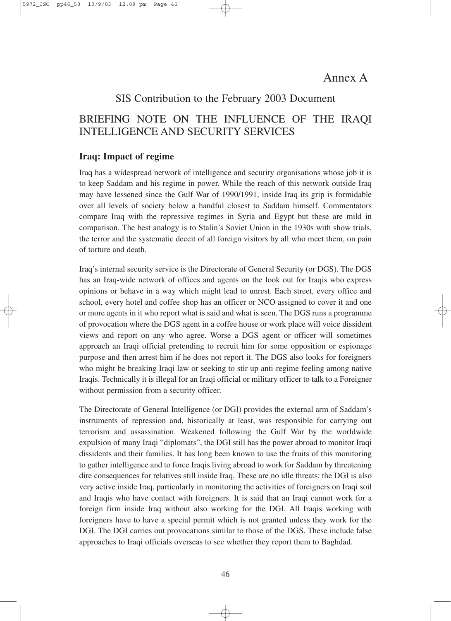### Annex A

#### SIS Contribution to the February 2003 Document

### BRIEFING NOTE ON THE INFLUENCE OF THE IRAQI INTELLIGENCE AND SECURITY SERVICES

#### **Iraq: Impact of regime**

Iraq has a widespread network of intelligence and security organisations whose job it is to keep Saddam and his regime in power. While the reach of this network outside Iraq may have lessened since the Gulf War of 1990/1991, inside Iraq its grip is formidable over all levels of society below a handful closest to Saddam himself. Commentators compare Iraq with the repressive regimes in Syria and Egypt but these are mild in comparison. The best analogy is to Stalin's Soviet Union in the 1930s with show trials, the terror and the systematic deceit of all foreign visitors by all who meet them, on pain of torture and death.

Iraq's internal security service is the Directorate of General Security (or DGS). The DGS has an Iraq-wide network of offices and agents on the look out for Iraqis who express opinions or behave in a way which might lead to unrest. Each street, every office and school, every hotel and coffee shop has an officer or NCO assigned to cover it and one or more agents in it who report what is said and what is seen. The DGS runs a programme of provocation where the DGS agent in a coffee house or work place will voice dissident views and report on any who agree. Worse a DGS agent or officer will sometimes approach an Iraqi official pretending to recruit him for some opposition or espionage purpose and then arrest him if he does not report it. The DGS also looks for foreigners who might be breaking Iraqi law or seeking to stir up anti-regime feeling among native Iraqis. Technically it is illegal for an Iraqi official or military officer to talk to a Foreigner without permission from a security officer.

The Directorate of General Intelligence (or DGI) provides the external arm of Saddam's instruments of repression and, historically at least, was responsible for carrying out terrorism and assassination. Weakened following the Gulf War by the worldwide expulsion of many Iraqi "diplomats", the DGI still has the power abroad to monitor Iraqi dissidents and their families. It has long been known to use the fruits of this monitoring to gather intelligence and to force Iraqis living abroad to work for Saddam by threatening dire consequences for relatives still inside Iraq. These are no idle threats: the DGI is also very active inside Iraq, particularly in monitoring the activities of foreigners on Iraqi soil and Iraqis who have contact with foreigners. It is said that an Iraqi cannot work for a foreign firm inside Iraq without also working for the DGI. All Iraqis working with foreigners have to have a special permit which is not granted unless they work for the DGI. The DGI carries out provocations similar to those of the DGS. These include false approaches to Iraqi officials overseas to see whether they report them to Baghdad.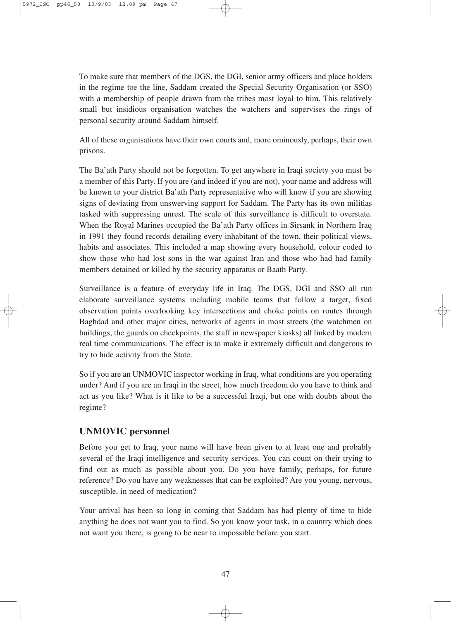To make sure that members of the DGS, the DGI, senior army officers and place holders in the regime toe the line, Saddam created the Special Security Organisation (or SSO) with a membership of people drawn from the tribes most loyal to him. This relatively small but insidious organisation watches the watchers and supervises the rings of personal security around Saddam himself.

All of these organisations have their own courts and, more ominously, perhaps, their own prisons.

The Ba'ath Party should not be forgotten. To get anywhere in Iraqi society you must be a member of this Party. If you are (and indeed if you are not), your name and address will be known to your district Ba'ath Party representative who will know if you are showing signs of deviating from unswerving support for Saddam. The Party has its own militias tasked with suppressing unrest. The scale of this surveillance is difficult to overstate. When the Royal Marines occupied the Ba'ath Party offices in Sirsank in Northern Iraq in 1991 they found records detailing every inhabitant of the town, their political views, habits and associates. This included a map showing every household, colour coded to show those who had lost sons in the war against Iran and those who had had family members detained or killed by the security apparatus or Baath Party.

Surveillance is a feature of everyday life in Iraq. The DGS, DGI and SSO all run elaborate surveillance systems including mobile teams that follow a target, fixed observation points overlooking key intersections and choke points on routes through Baghdad and other major cities, networks of agents in most streets (the watchmen on buildings, the guards on checkpoints, the staff in newspaper kiosks) all linked by modern real time communications. The effect is to make it extremely difficult and dangerous to try to hide activity from the State.

So if you are an UNMOVIC inspector working in Iraq, what conditions are you operating under? And if you are an Iraqi in the street, how much freedom do you have to think and act as you like? What is it like to be a successful Iraqi, but one with doubts about the regime?

#### **UNMOVIC personnel**

Before you get to Iraq, your name will have been given to at least one and probably several of the Iraqi intelligence and security services. You can count on their trying to find out as much as possible about you. Do you have family, perhaps, for future reference? Do you have any weaknesses that can be exploited? Are you young, nervous, susceptible, in need of medication?

Your arrival has been so long in coming that Saddam has had plenty of time to hide anything he does not want you to find. So you know your task, in a country which does not want you there, is going to be near to impossible before you start.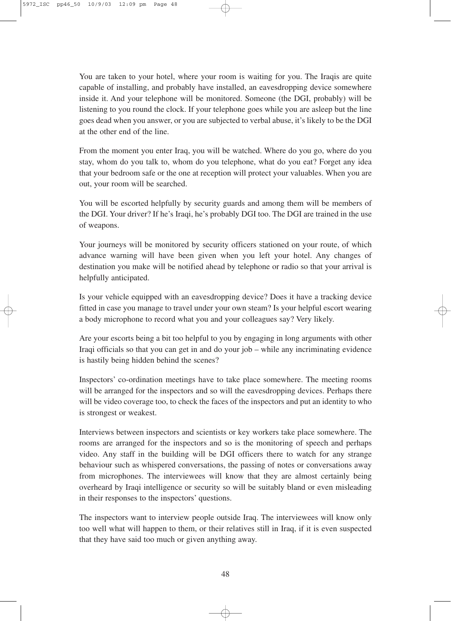You are taken to your hotel, where your room is waiting for you. The Iraqis are quite capable of installing, and probably have installed, an eavesdropping device somewhere inside it. And your telephone will be monitored. Someone (the DGI, probably) will be listening to you round the clock. If your telephone goes while you are asleep but the line goes dead when you answer, or you are subjected to verbal abuse, it's likely to be the DGI at the other end of the line.

From the moment you enter Iraq, you will be watched. Where do you go, where do you stay, whom do you talk to, whom do you telephone, what do you eat? Forget any idea that your bedroom safe or the one at reception will protect your valuables. When you are out, your room will be searched.

You will be escorted helpfully by security guards and among them will be members of the DGI. Your driver? If he's Iraqi, he's probably DGI too. The DGI are trained in the use of weapons.

Your journeys will be monitored by security officers stationed on your route, of which advance warning will have been given when you left your hotel. Any changes of destination you make will be notified ahead by telephone or radio so that your arrival is helpfully anticipated.

Is your vehicle equipped with an eavesdropping device? Does it have a tracking device fitted in case you manage to travel under your own steam? Is your helpful escort wearing a body microphone to record what you and your colleagues say? Very likely.

Are your escorts being a bit too helpful to you by engaging in long arguments with other Iraqi officials so that you can get in and do your job – while any incriminating evidence is hastily being hidden behind the scenes?

Inspectors' co-ordination meetings have to take place somewhere. The meeting rooms will be arranged for the inspectors and so will the eavesdropping devices. Perhaps there will be video coverage too, to check the faces of the inspectors and put an identity to who is strongest or weakest.

Interviews between inspectors and scientists or key workers take place somewhere. The rooms are arranged for the inspectors and so is the monitoring of speech and perhaps video. Any staff in the building will be DGI officers there to watch for any strange behaviour such as whispered conversations, the passing of notes or conversations away from microphones. The interviewees will know that they are almost certainly being overheard by Iraqi intelligence or security so will be suitably bland or even misleading in their responses to the inspectors' questions.

The inspectors want to interview people outside Iraq. The interviewees will know only too well what will happen to them, or their relatives still in Iraq, if it is even suspected that they have said too much or given anything away.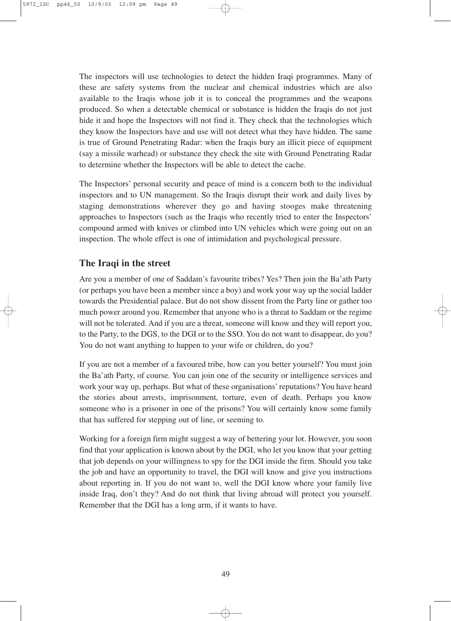The inspectors will use technologies to detect the hidden Iraqi programmes. Many of these are safety systems from the nuclear and chemical industries which are also available to the Iraqis whose job it is to conceal the programmes and the weapons produced. So when a detectable chemical or substance is hidden the Iraqis do not just hide it and hope the Inspectors will not find it. They check that the technologies which they know the Inspectors have and use will not detect what they have hidden. The same is true of Ground Penetrating Radar: when the Iraqis bury an illicit piece of equipment (say a missile warhead) or substance they check the site with Ground Penetrating Radar to determine whether the Inspectors will be able to detect the cache.

The Inspectors' personal security and peace of mind is a concern both to the individual inspectors and to UN management. So the Iraqis disrupt their work and daily lives by staging demonstrations wherever they go and having stooges make threatening approaches to Inspectors (such as the Iraqis who recently tried to enter the Inspectors' compound armed with knives or climbed into UN vehicles which were going out on an inspection. The whole effect is one of intimidation and psychological pressure.

#### **The Iraqi in the street**

Are you a member of one of Saddam's favourite tribes? Yes? Then join the Ba'ath Party (or perhaps you have been a member since a boy) and work your way up the social ladder towards the Presidential palace. But do not show dissent from the Party line or gather too much power around you. Remember that anyone who is a threat to Saddam or the regime will not be tolerated. And if you are a threat, someone will know and they will report you, to the Party, to the DGS, to the DGI or to the SSO. You do not want to disappear, do you? You do not want anything to happen to your wife or children, do you?

If you are not a member of a favoured tribe, how can you better yourself? You must join the Ba'ath Party, of course. You can join one of the security or intelligence services and work your way up, perhaps. But what of these organisations'reputations? You have heard the stories about arrests, imprisonment, torture, even of death. Perhaps you know someone who is a prisoner in one of the prisons? You will certainly know some family that has suffered for stepping out of line, or seeming to.

Working for a foreign firm might suggest a way of bettering your lot. However, you soon find that your application is known about by the DGI, who let you know that your getting that job depends on your willingness to spy for the DGI inside the firm. Should you take the job and have an opportunity to travel, the DGI will know and give you instructions about reporting in. If you do not want to, well the DGI know where your family live inside Iraq, don't they? And do not think that living abroad will protect you yourself. Remember that the DGI has a long arm, if it wants to have.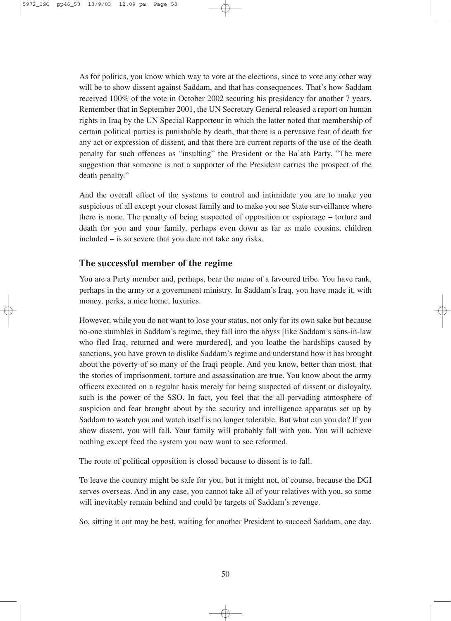As for politics, you know which way to vote at the elections, since to vote any other way will be to show dissent against Saddam, and that has consequences. That's how Saddam received 100% of the vote in October 2002 securing his presidency for another 7 years. Remember that in September 2001, the UN Secretary General released a report on human rights in Iraq by the UN Special Rapporteur in which the latter noted that membership of certain political parties is punishable by death, that there is a pervasive fear of death for any act or expression of dissent, and that there are current reports of the use of the death penalty for such offences as "insulting" the President or the Ba'ath Party. "The mere suggestion that someone is not a supporter of the President carries the prospect of the death penalty."

And the overall effect of the systems to control and intimidate you are to make you suspicious of all except your closest family and to make you see State surveillance where there is none. The penalty of being suspected of opposition or espionage – torture and death for you and your family, perhaps even down as far as male cousins, children included – is so severe that you dare not take any risks.

#### **The successful member of the regime**

You are a Party member and, perhaps, bear the name of a favoured tribe. You have rank, perhaps in the army or a government ministry. In Saddam's Iraq, you have made it, with money, perks, a nice home, luxuries.

However, while you do not want to lose your status, not only for its own sake but because no-one stumbles in Saddam's regime, they fall into the abyss [like Saddam's sons-in-law who fled Iraq, returned and were murdered], and you loathe the hardships caused by sanctions, you have grown to dislike Saddam's regime and understand how it has brought about the poverty of so many of the Iraqi people. And you know, better than most, that the stories of imprisonment, torture and assassination are true. You know about the army officers executed on a regular basis merely for being suspected of dissent or disloyalty, such is the power of the SSO. In fact, you feel that the all-pervading atmosphere of suspicion and fear brought about by the security and intelligence apparatus set up by Saddam to watch you and watch itself is no longer tolerable. But what can you do? If you show dissent, you will fall. Your family will probably fall with you. You will achieve nothing except feed the system you now want to see reformed.

The route of political opposition is closed because to dissent is to fall.

To leave the country might be safe for you, but it might not, of course, because the DGI serves overseas. And in any case, you cannot take all of your relatives with you, so some will inevitably remain behind and could be targets of Saddam's revenge.

So, sitting it out may be best, waiting for another President to succeed Saddam, one day.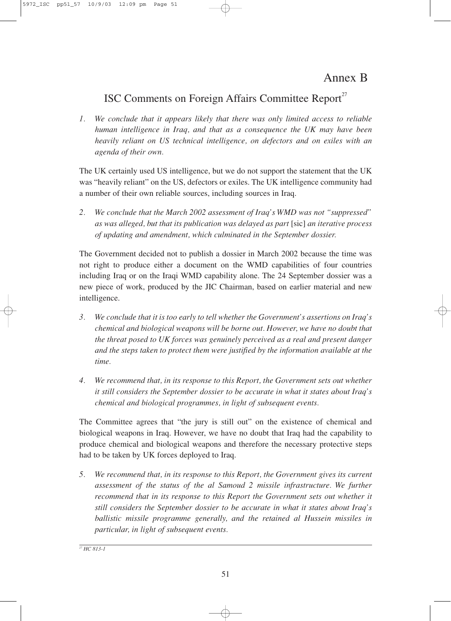### Annex B

## ISC Comments on Foreign Affairs Committee Report<sup>27</sup>

*1. We conclude that it appears likely that there was only limited access to reliable human intelligence in Iraq, and that as a consequence the UK may have been heavily reliant on US technical intelligence, on defectors and on exiles with an agenda of their own.*

The UK certainly used US intelligence, but we do not support the statement that the UK was "heavily reliant" on the US, defectors or exiles. The UK intelligence community had a number of their own reliable sources, including sources in Iraq.

*2. We conclude that the March 2002 assessment of Iraq's WMD was not "suppressed" as was alleged, but that its publication was delayed as part* [sic] *an iterative process of updating and amendment, which culminated in the September dossier.*

The Government decided not to publish a dossier in March 2002 because the time was not right to produce either a document on the WMD capabilities of four countries including Iraq or on the Iraqi WMD capability alone. The 24 September dossier was a new piece of work, produced by the JIC Chairman, based on earlier material and new intelligence.

- *3. We conclude that it is too early to tell whether the Government's assertions on Iraq's chemical and biological weapons will be borne out. However, we have no doubt that the threat posed to UK forces was genuinely perceived as a real and present danger and the steps taken to protect them were justified by the information available at the time.*
- *4. We recommend that, in its response to this Report, the Government sets out whether it still considers the September dossier to be accurate in what it states about Iraq's chemical and biological programmes, in light of subsequent events.*

The Committee agrees that "the jury is still out" on the existence of chemical and biological weapons in Iraq. However, we have no doubt that Iraq had the capability to produce chemical and biological weapons and therefore the necessary protective steps had to be taken by UK forces deployed to Iraq.

*5. We recommend that, in its response to this Report, the Government gives its current assessment of the status of the al Samoud 2 missile infrastructure. We further recommend that in its response to this Report the Government sets out whether it still considers the September dossier to be accurate in what it states about Iraq's ballistic missile programme generally, and the retained al Hussein missiles in particular, in light of subsequent events.*

*<sup>27</sup> HC 813-1*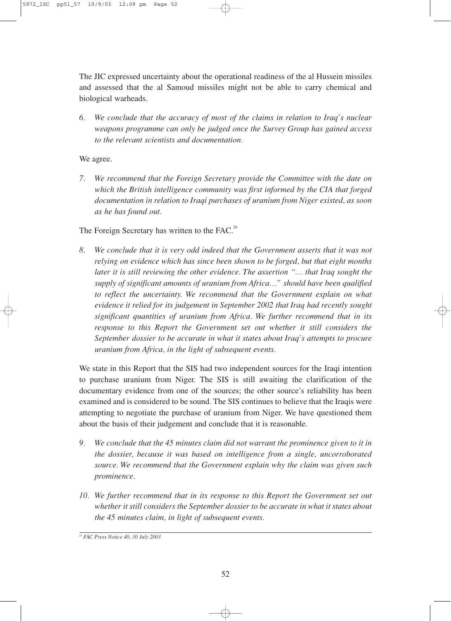The JIC expressed uncertainty about the operational readiness of the al Hussein missiles and assessed that the al Samoud missiles might not be able to carry chemical and biological warheads.

*6. We conclude that the accuracy of most of the claims in relation to Iraq's nuclear weapons programme can only be judged once the Survey Group has gained access to the relevant scientists and documentation.*

We agree.

*7. We recommend that the Foreign Secretary provide the Committee with the date on which the British intelligence community was first informed by the CIA that forged documentation in relation to Iraqi purchases of uranium from Niger existed, as soon as he has found out.*

The Foreign Secretary has written to the FAC.<sup>28</sup>

*8. We conclude that it is very odd indeed that the Government asserts that it was not relying on evidence which has since been shown to be forged, but that eight months later it is still reviewing the other evidence. The assertion "… that Iraq sought the supply of significant amounts of uranium from Africa…" should have been qualified to reflect the uncertainty. We recommend that the Government explain on what evidence it relied for its judgement in September 2002 that Iraq had recently sought significant quantities of uranium from Africa. We further recommend that in its response to this Report the Government set out whether it still considers the September dossier to be accurate in what it states about Iraq's attempts to procure uranium from Africa, in the light of subsequent events.*

We state in this Report that the SIS had two independent sources for the Iraqi intention to purchase uranium from Niger. The SIS is still awaiting the clarification of the documentary evidence from one of the sources; the other source's reliability has been examined and is considered to be sound. The SIS continues to believe that the Iraqis were attempting to negotiate the purchase of uranium from Niger. We have questioned them about the basis of their judgement and conclude that it is reasonable.

- *9. We conclude that the 45 minutes claim did not warrant the prominence given to it in the dossier, because it was based on intelligence from a single, uncorroborated source. We recommend that the Government explain why the claim was given such prominence.*
- *10. We further recommend that in its response to this Report the Government set out whether it still considers the September dossier to be accurate in what it states about the 45 minutes claim, in light of subsequent events.*

*<sup>28</sup> FAC Press Notice 40, 30 July 2003*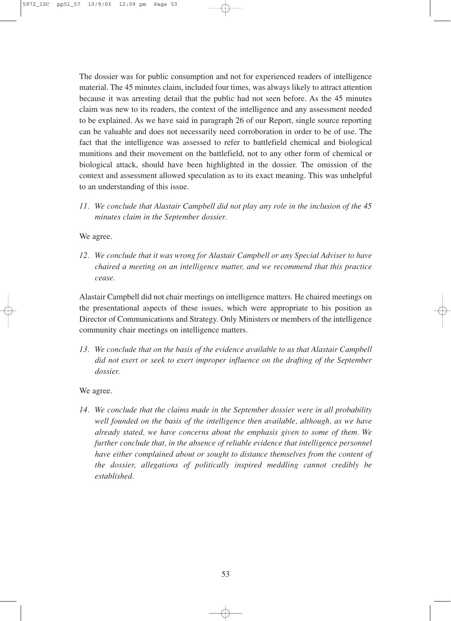The dossier was for public consumption and not for experienced readers of intelligence material. The 45 minutes claim, included four times, was always likely to attract attention because it was arresting detail that the public had not seen before. As the 45 minutes claim was new to its readers, the context of the intelligence and any assessment needed to be explained. As we have said in paragraph 26 of our Report, single source reporting can be valuable and does not necessarily need corroboration in order to be of use. The fact that the intelligence was assessed to refer to battlefield chemical and biological munitions and their movement on the battlefield, not to any other form of chemical or biological attack, should have been highlighted in the dossier. The omission of the context and assessment allowed speculation as to its exact meaning. This was unhelpful to an understanding of this issue.

*11. We conclude that Alastair Campbell did not play any role in the inclusion of the 45 minutes claim in the September dossier.*

We agree.

*12. We conclude that it was wrong for Alastair Campbell or any Special Adviser to have chaired a meeting on an intelligence matter, and we recommend that this practice cease.*

Alastair Campbell did not chair meetings on intelligence matters. He chaired meetings on the presentational aspects of these issues, which were appropriate to his position as Director of Communications and Strategy. Only Ministers or members of the intelligence community chair meetings on intelligence matters.

*13. We conclude that on the basis of the evidence available to us that Alastair Campbell did not exert or seek to exert improper influence on the drafting of the September dossier.*

We agree.

*14. We conclude that the claims made in the September dossier were in all probability well founded on the basis of the intelligence then available, although, as we have already stated, we have concerns about the emphasis given to some of them. We further conclude that, in the absence of reliable evidence that intelligence personnel have either complained about or sought to distance themselves from the content of the dossier, allegations of politically inspired meddling cannot credibly be established.*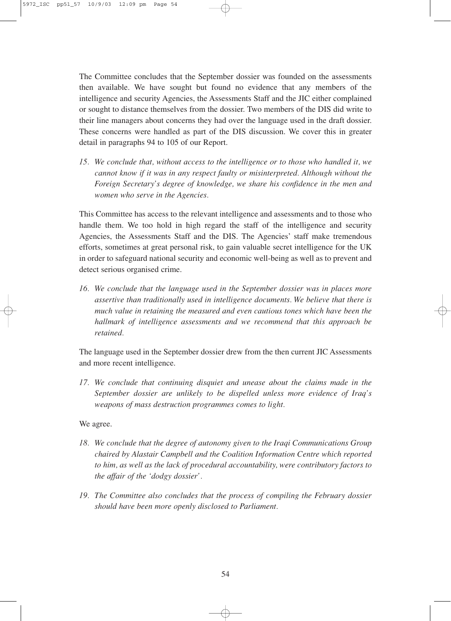The Committee concludes that the September dossier was founded on the assessments then available. We have sought but found no evidence that any members of the intelligence and security Agencies, the Assessments Staff and the JIC either complained or sought to distance themselves from the dossier. Two members of the DIS did write to their line managers about concerns they had over the language used in the draft dossier. These concerns were handled as part of the DIS discussion. We cover this in greater detail in paragraphs 94 to 105 of our Report.

*15. We conclude that, without access to the intelligence or to those who handled it, we cannot know if it was in any respect faulty or misinterpreted. Although without the Foreign Secretary's degree of knowledge, we share his confidence in the men and women who serve in the Agencies.*

This Committee has access to the relevant intelligence and assessments and to those who handle them. We too hold in high regard the staff of the intelligence and security Agencies, the Assessments Staff and the DIS. The Agencies' staff make tremendous efforts, sometimes at great personal risk, to gain valuable secret intelligence for the UK in order to safeguard national security and economic well-being as well as to prevent and detect serious organised crime.

*16. We conclude that the language used in the September dossier was in places more assertive than traditionally used in intelligence documents. We believe that there is much value in retaining the measured and even cautious tones which have been the hallmark of intelligence assessments and we recommend that this approach be retained.*

The language used in the September dossier drew from the then current JIC Assessments and more recent intelligence.

*17. We conclude that continuing disquiet and unease about the claims made in the September dossier are unlikely to be dispelled unless more evidence of Iraq's weapons of mass destruction programmes comes to light.*

We agree.

- *18. We conclude that the degree of autonomy given to the Iraqi Communications Group chaired by Alastair Campbell and the Coalition Information Centre which reported to him, as well as the lack of procedural accountability, were contributory factors to the affair of the 'dodgy dossier'.*
- *19. The Committee also concludes that the process of compiling the February dossier should have been more openly disclosed to Parliament.*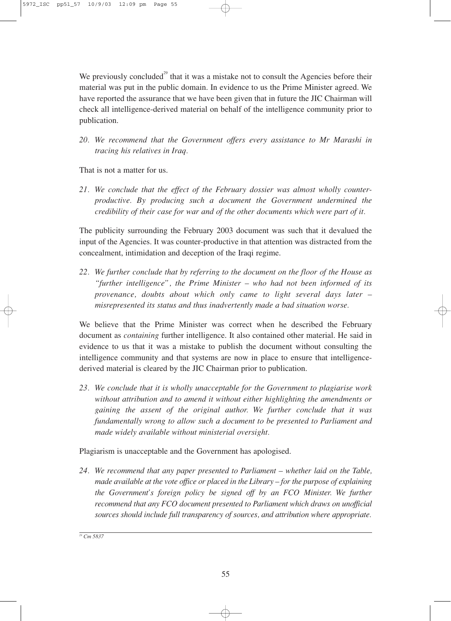We previously concluded<sup>29</sup> that it was a mistake not to consult the Agencies before their material was put in the public domain. In evidence to us the Prime Minister agreed. We have reported the assurance that we have been given that in future the JIC Chairman will check all intelligence-derived material on behalf of the intelligence community prior to publication.

*20. We recommend that the Government offers every assistance to Mr Marashi in tracing his relatives in Iraq.*

That is not a matter for us.

*21. We conclude that the effect of the February dossier was almost wholly counterproductive. By producing such a document the Government undermined the credibility of their case for war and of the other documents which were part of it.*

The publicity surrounding the February 2003 document was such that it devalued the input of the Agencies. It was counter-productive in that attention was distracted from the concealment, intimidation and deception of the Iraqi regime.

*22. We further conclude that by referring to the document on the floor of the House as "further intelligence", the Prime Minister – who had not been informed of its provenance, doubts about which only came to light several days later – misrepresented its status and thus inadvertently made a bad situation worse.*

We believe that the Prime Minister was correct when he described the February document as *containing* further intelligence. It also contained other material. He said in evidence to us that it was a mistake to publish the document without consulting the intelligence community and that systems are now in place to ensure that intelligencederived material is cleared by the JIC Chairman prior to publication.

*23. We conclude that it is wholly unacceptable for the Government to plagiarise work without attribution and to amend it without either highlighting the amendments or gaining the assent of the original author. We further conclude that it was fundamentally wrong to allow such a document to be presented to Parliament and made widely available without ministerial oversight.*

Plagiarism is unacceptable and the Government has apologised.

*24. We recommend that any paper presented to Parliament – whether laid on the Table, made available at the vote office or placed in the Library – for the purpose of explaining the Government's foreign policy be signed off by an FCO Minister. We further recommend that any FCO document presented to Parliament which draws on unofficial sources should include full transparency of sources, and attribution where appropriate.*

*<sup>29</sup> Cm 5837*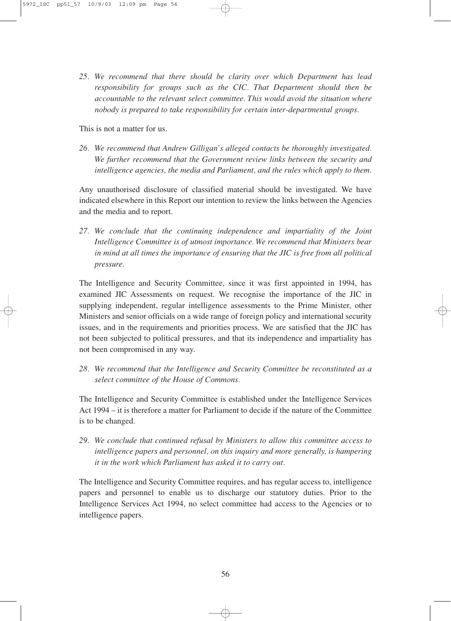*25. We recommend that there should be clarity over which Department has lead responsibility for groups such as the CIC. That Department should then be accountable to the relevant select committee. This would avoid the situation where nobody is prepared to take responsibility for certain inter-departmental groups.*

This is not a matter for us.

*26. We recommend that Andrew Gilligan's alleged contacts be thoroughly investigated. We further recommend that the Government review links between the security and intelligence agencies, the media and Parliament, and the rules which apply to them.*

Any unauthorised disclosure of classified material should be investigated. We have indicated elsewhere in this Report our intention to review the links between the Agencies and the media and to report.

*27. We conclude that the continuing independence and impartiality of the Joint Intelligence Committee is of utmost importance. We recommend that Ministers bear in mind at all times the importance of ensuring that the JIC is free from all political pressure.*

The Intelligence and Security Committee, since it was first appointed in 1994, has examined JIC Assessments on request. We recognise the importance of the JIC in supplying independent, regular intelligence assessments to the Prime Minister, other Ministers and senior officials on a wide range of foreign policy and international security issues, and in the requirements and priorities process. We are satisfied that the JIC has not been subjected to political pressures, and that its independence and impartiality has not been compromised in any way.

*28. We recommend that the Intelligence and Security Committee be reconstituted as a select committee of the House of Commons.*

The Intelligence and Security Committee is established under the Intelligence Services Act 1994 – it is therefore a matter for Parliament to decide if the nature of the Committee is to be changed.

*29. We conclude that continued refusal by Ministers to allow this committee access to intelligence papers and personnel, on this inquiry and more generally, is hampering it in the work which Parliament has asked it to carry out.*

The Intelligence and Security Committee requires, and has regular access to, intelligence papers and personnel to enable us to discharge our statutory duties. Prior to the Intelligence Services Act 1994, no select committee had access to the Agencies or to intelligence papers.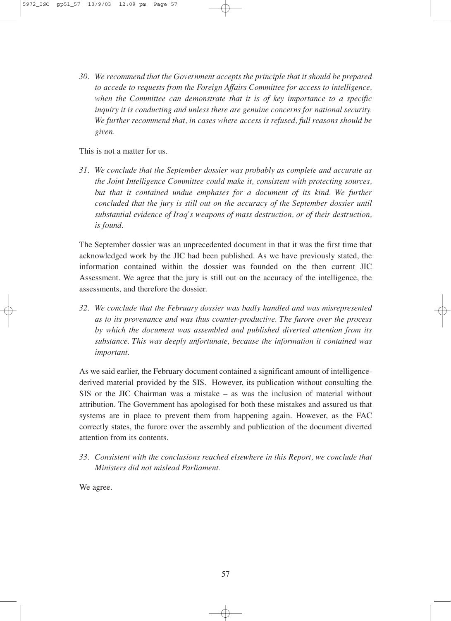*30. We recommend that the Government accepts the principle that it should be prepared to accede to requests from the Foreign Affairs Committee for access to intelligence, when the Committee can demonstrate that it is of key importance to a specific inquiry it is conducting and unless there are genuine concerns for national security. We further recommend that, in cases where access is refused, full reasons should be given.*

This is not a matter for us.

*31. We conclude that the September dossier was probably as complete and accurate as the Joint Intelligence Committee could make it, consistent with protecting sources, but that it contained undue emphases for a document of its kind. We further concluded that the jury is still out on the accuracy of the September dossier until substantial evidence of Iraq's weapons of mass destruction, or of their destruction, is found.*

The September dossier was an unprecedented document in that it was the first time that acknowledged work by the JIC had been published. As we have previously stated, the information contained within the dossier was founded on the then current JIC Assessment. We agree that the jury is still out on the accuracy of the intelligence, the assessments, and therefore the dossier.

*32. We conclude that the February dossier was badly handled and was misrepresented as to its provenance and was thus counter-productive. The furore over the process by which the document was assembled and published diverted attention from its substance. This was deeply unfortunate, because the information it contained was important.*

As we said earlier, the February document contained a significant amount of intelligencederived material provided by the SIS. However, its publication without consulting the SIS or the JIC Chairman was a mistake – as was the inclusion of material without attribution. The Government has apologised for both these mistakes and assured us that systems are in place to prevent them from happening again. However, as the FAC correctly states, the furore over the assembly and publication of the document diverted attention from its contents.

*33. Consistent with the conclusions reached elsewhere in this Report, we conclude that Ministers did not mislead Parliament.*

We agree.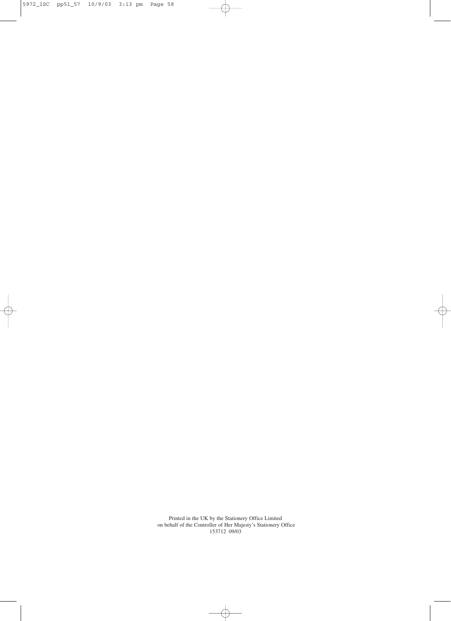5972\_ISC pp51\_57 10/9/03 3:13 pm Page 58

Printed in the UK by the Stationery Office Limited on behalf of the Controller of Her Majesty's Stationery Office 153712 09/03

 $\overline{\bigoplus}$ 

Ŧ